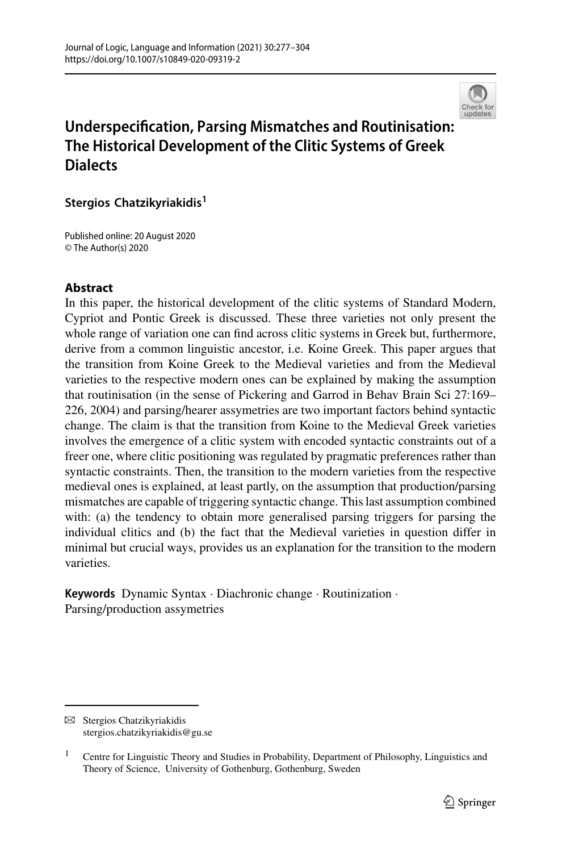

# **Underspecification, Parsing Mismatches and Routinisation: The Historical Development of the Clitic Systems of Greek Dialects**

**Stergios Chatzikyriakidis<sup>1</sup>**

Published online: 20 August 2020 © The Author(s) 2020

### **Abstract**

In this paper, the historical development of the clitic systems of Standard Modern, Cypriot and Pontic Greek is discussed. These three varieties not only present the whole range of variation one can find across clitic systems in Greek but, furthermore, derive from a common linguistic ancestor, i.e. Koine Greek. This paper argues that the transition from Koine Greek to the Medieval varieties and from the Medieval varieties to the respective modern ones can be explained by making the assumption that routinisation (in the sense of Pickering and Garrod in Behav Brain Sci 27:169– 226, 2004) and parsing/hearer assymetries are two important factors behind syntactic change. The claim is that the transition from Koine to the Medieval Greek varieties involves the emergence of a clitic system with encoded syntactic constraints out of a freer one, where clitic positioning was regulated by pragmatic preferences rather than syntactic constraints. Then, the transition to the modern varieties from the respective medieval ones is explained, at least partly, on the assumption that production/parsing mismatches are capable of triggering syntactic change. This last assumption combined with: (a) the tendency to obtain more generalised parsing triggers for parsing the individual clitics and (b) the fact that the Medieval varieties in question differ in minimal but crucial ways, provides us an explanation for the transition to the modern varieties.

**Keywords** Dynamic Syntax · Diachronic change · Routinization · Parsing/production assymetries

 $\boxtimes$  Stergios Chatzikyriakidis stergios.chatzikyriakidis@gu.se

<sup>&</sup>lt;sup>1</sup> Centre for Linguistic Theory and Studies in Probability, Department of Philosophy, Linguistics and Theory of Science, University of Gothenburg, Gothenburg, Sweden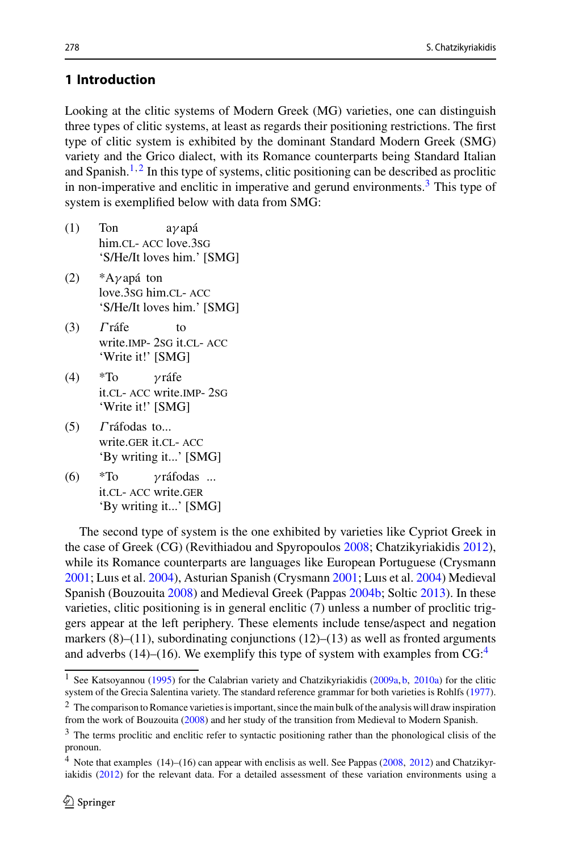# **1 Introduction**

Looking at the clitic systems of Modern Greek (MG) varieties, one can distinguish three types of clitic systems, at least as regards their positioning restrictions. The first type of clitic system is exhibited by the dominant Standard Modern Greek (SMG) variety and the Grico dialect, with its Romance counterparts being Standard Italian and Spanish.<sup>[1](#page-1-0),[2](#page-1-1)</sup> In this type of systems, clitic positioning can be described as proclitic in non-imperative and enclitic in imperative and gerund environments.<sup>3</sup> This type of system is exemplified below with data from SMG:

- (1) Ton him.cl- Acc love.3sG aγ apá 'S/He/It loves him.' [SMG]
- (2) \*Aγ apá ton love.3sg him.cl- acc 'S/He/It loves him.' [SMG]
- $(3)$   $\Gamma$  ráfe write.IMP- 2sG it.CL- ACC to 'Write it!' [SMG]
- $(4)$  \*To it.cl- acc write.imp- 2sg γ ráfe 'Write it!' [SMG]
- (5) Γ ráfodas to... write.GER it.CL- ACC 'By writing it...' [SMG]
- $(6)$  \*To it.cl- acc write.ger γ ráfodas ... 'By writing it...' [SMG]

The second type of system is the one exhibited by varieties like Cypriot Greek in the case of Greek (CG) (Revithiadou and Spyropoulo[s](#page-27-0) [2008;](#page-27-0) Chatzikyriakidi[s](#page-26-0) [2012](#page-26-0)), while its Romance counterparts are languages like European Portuguese (Crysman[n](#page-26-1) [2001;](#page-26-1) Luıs et al[.](#page-26-2) [2004](#page-26-2)), Asturian Spanish (Crysman[n](#page-26-1) [2001](#page-26-1); Luıs et al[.](#page-26-2) [2004\)](#page-26-2) Medieval Spanish (Bouzouit[a](#page-26-3) [2008](#page-26-3)) and Medieval Greek (Pappa[s](#page-26-4) [2004b](#page-26-4); Solti[c](#page-27-1) [2013\)](#page-27-1). In these varieties, clitic positioning is in general enclitic (7) unless a number of proclitic triggers appear at the left periphery. These elements include tense/aspect and negation markers  $(8)$ – $(11)$ , subordinating conjunctions  $(12)$ – $(13)$  as well as fronted arguments and adverbs (1[4](#page-1-3))–(16). We exemplify this type of system with examples from  $CG:^{4}$ 

<span id="page-1-0"></span><sup>&</sup>lt;s[u](#page-26-5)p>1</sup> See Katsoyannou [\(1995](#page-26-5)) for the Calabrian variety and Chatzikyriakidi[s](#page-26-6) [\(2009a,](#page-26-6) [b,](#page-26-7) [2010a](#page-26-8)) for the clitic system of the Grecia Salentina variety. The standard reference grammar for both varieties is Rohlf[s](#page-27-2) [\(1977](#page-27-2)).

<span id="page-1-1"></span><sup>&</sup>lt;sup>2</sup> The comparison to Romance varieties is important, since the main bulk of the analysis will draw inspiration from the work of Bouzouit[a](#page-26-3) [\(2008](#page-26-3)) and her study of the transition from Medieval to Modern Spanish.

<span id="page-1-2"></span><sup>&</sup>lt;sup>3</sup> The terms proclitic and enclitic refer to syntactic positioning rather than the phonological clisis of the pronoun.

<span id="page-1-3"></span><sup>4</sup> Note that examples (14)–(16) can appear with enclisis as well. See Pappa[s](#page-26-9) [\(2008](#page-26-9), [2012](#page-27-3)) and Chatzikyriakidi[s](#page-26-0) [\(2012\)](#page-26-0) for the relevant data. For a detailed assessment of these variation environments using a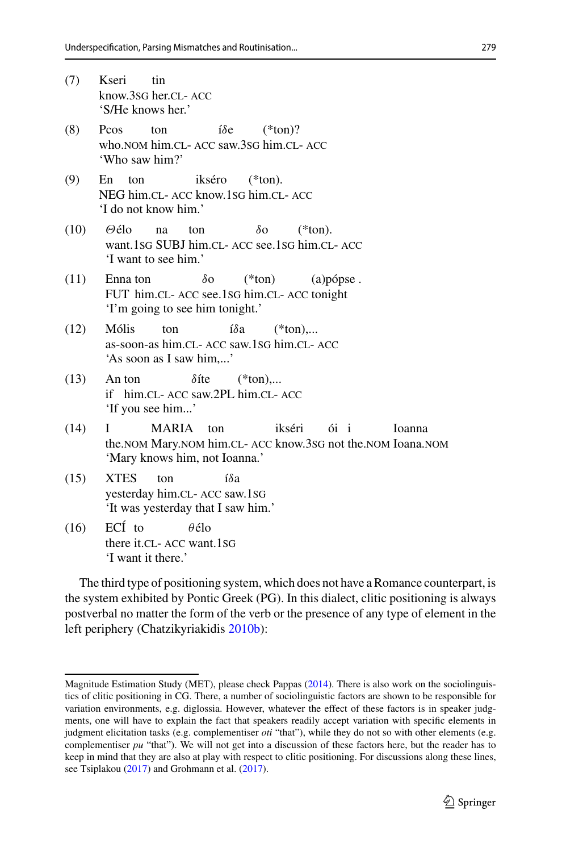- (7) Kseri know.3sg her.cl- acc tin 'S/He knows her.' (8) Pcos who.nom him.cl- acc saw.3sg him.cl- acc ton íδe  $(*ton)$ ? 'Who saw him?' (9) En NEG him.cl- Acc know.1sG him.cl- Acc ton ikséro  $(*ton).$ 'I do not know him.' (10) Θélo want.1sG SUBJ him.cl- Acc see.1sG him.cl- Acc na ton  $\delta$ o  $(*ton).$ 'I want to see him.' (11) Enna ton FUT him.cl- Acc see.1sG him.cl- Acc tonight δo (\*ton) (a)pópse . 'I'm going to see him tonight.' (12) Mólis as-soon-as him.cl- acc saw.1sg him.cl- acc ton íδa  $(*ton)...$ 'As soon as I saw him,...'  $(13)$ if him.cl- acc saw.2PL him.cl- acc An ton  $\delta$ íte  $(*ton)...$ 'If you see him...'  $(14) \quad I$ the.NOM Mary.NOM him.CL- ACC know.3sG not the.NOM Ioana.NOM MARIA ton ikséri ói i Ioanna 'Mary knows him, not Ioanna.' (15) XTES yesterday him.cl- acc saw.1sg ton íδa 'It was yesterday that I saw him.'  $(16)$  $ECI$  to θélo
- there it.CL- ACC want.1sG 'I want it there.'

The third type of positioning system, which does not have a Romance counterpart, is the system exhibited by Pontic Greek (PG). In this dialect, clitic positioning is always postverbal no matter the form of the verb or the presence of any type of element in the left periphery (Chatzikyriakidi[s](#page-26-10) [2010b\)](#page-26-10):

Magnitude Estimation Study (MET), please check Pappa[s](#page-27-4) [\(2014\)](#page-27-4). There is also work on the sociolinguistics of clitic positioning in CG. There, a number of sociolinguistic factors are shown to be responsible for variation environments, e.g. diglossia. However, whatever the effect of these factors is in speaker judgments, one will have to explain the fact that speakers readily accept variation with specific elements in judgment elicitation tasks (e.g. complementiser *oti* "that"), while they do not so with other elements (e.g. complementiser  $pu$  "that"). We will not get into a discussion of these factors here, but the reader has to keep in mind that they are also at play with respect to clitic positioning. For discussions along these lines, see Tsiplako[u](#page-27-5) [\(2017](#page-27-5)) and Grohmann et al[.](#page-26-11) [\(2017\)](#page-26-11).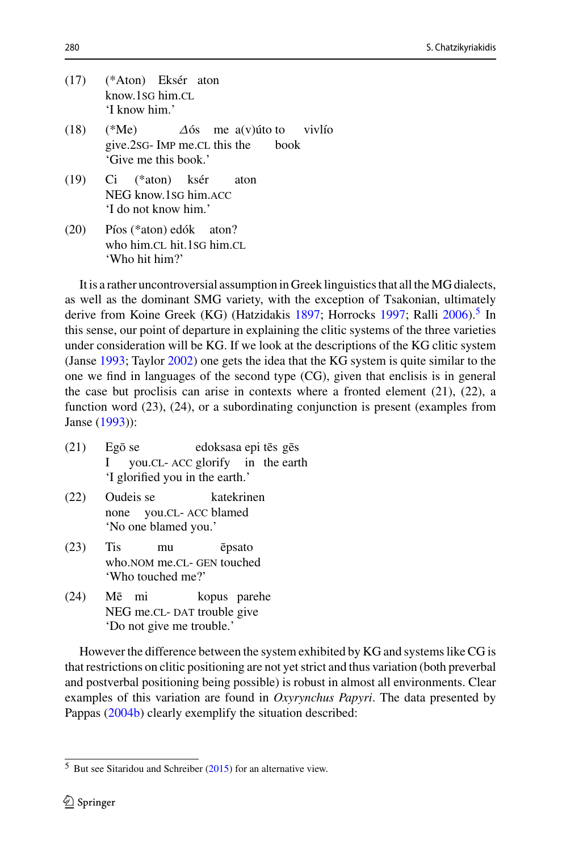|      | (17) (*Aton) Eksér aton<br>know.1sG him.CL<br>'I know him.'                                               |
|------|-----------------------------------------------------------------------------------------------------------|
|      | (18) (*Me) $\Delta 6s$ me a(v) úto to viviso<br>give.2sG- IMP me.CL this the book<br>'Give me this book.' |
|      | (19) Ci (*aton) ksér aton<br>NEG know.1sG him.ACC<br>'I do not know him.'                                 |
| (20) | Píos (*aton) edók aton?<br>who him.CL hit.1sG him.CL<br>'Who hit him?'                                    |

It is a rather uncontroversial assumption in Greek linguistics that all the MG dialects, as well as the dominant SMG variety, with the exception of Tsakonian, ultimately derive from Koine Greek (KG) (Hatzidaki[s](#page-26-13) [1897;](#page-26-12) Horrocks [1997](#page-26-13); Rall[i](#page-27-6) [2006](#page-27-6)).<sup>[5](#page-3-0)</sup> In this sense, our point of departure in explaining the clitic systems of the three varieties under consideration will be KG. If we look at the descriptions of the KG clitic system (Jans[e](#page-26-14) [1993;](#page-26-14) Taylo[r](#page-27-7) [2002](#page-27-7)) one gets the idea that the KG system is quite similar to the one we find in languages of the second type (CG), given that enclisis is in general the case but proclisis can arise in contexts where a fronted element  $(21)$ ,  $(22)$ , a function word (23), (24), or a subordinating conjunction is present (examples from Jans[e](#page-26-14) [\(1993](#page-26-14))):

- $(21)$ I Egō se you.CL- ACC glorify in the earth edoksasa epi tēs gēs 'I glorified you in the earth.'
- (22) Oudeis se none you.cl- acc blamed katekrinen 'No one blamed you.'
- (23) Tis who.NOM me.CL- GEN touched mu epsato 'Who touched me?'
- $(24)$ NEG me.CL- DAT trouble give Mē mi kopus parehe 'Do not give me trouble.'

However the difference between the system exhibited by KG and systems like CG is that restrictions on clitic positioning are not yet strict and thus variation (both preverbal and postverbal positioning being possible) is robust in almost all environments. Clear examples of this variation are found in *Oxyrynchus Papyri*. The data presented by Pappa[s](#page-26-4) [\(2004b\)](#page-26-4) clearly exemplify the situation described:

<span id="page-3-0"></span> $5$  But see Sita[r](#page-27-8)idou and Schreiber [\(2015](#page-27-8)) for an alternative view.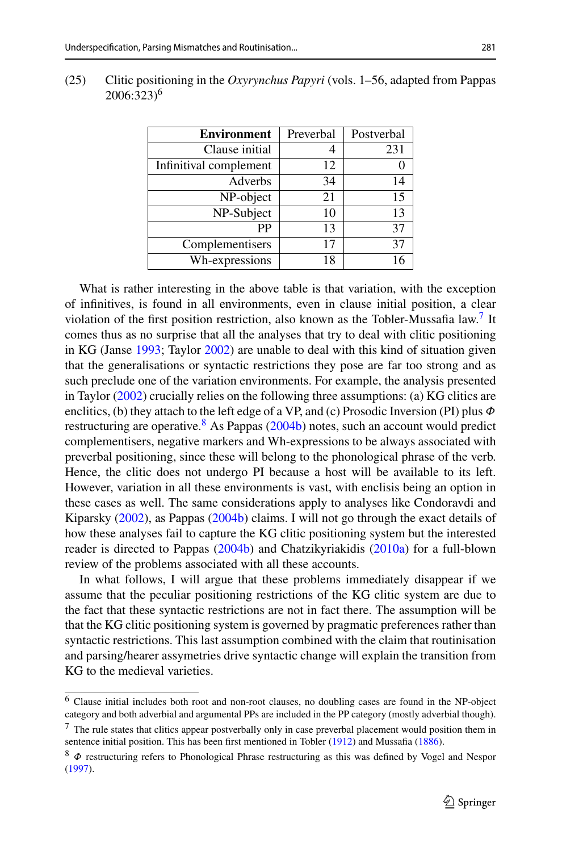| <b>Environment</b>     | Preverbal | Postverbal |
|------------------------|-----------|------------|
| Clause initial         |           | 231        |
| Infinitival complement | 12        |            |
| Adverbs                | 34        | 14         |
| NP-object              | 21        | 15         |
| NP-Subject             | 10        | 13         |
| РP                     | 13        | 37         |
| Complementisers        | 17        | 37         |
| Wh-expressions         | 18        | 16         |

(25) Clitic positioning in the *Oxyrynchus Papyri* (vols. 1–56, adapted from Pappas 2006:323)6

What is rather interesting in the above table is that variation, with the exception of infinitives, is found in all environments, even in clause initial position, a clear violation of the first position restriction, also known as the Tobler-Mussafia law.<sup>[7](#page-4-0)</sup> It comes thus as no surprise that all the analyses that try to deal with clitic positioning in KG (Jans[e](#page-26-14) [1993;](#page-26-14) Taylo[r](#page-27-7) [2002\)](#page-27-7) are unable to deal with this kind of situation given that the generalisations or syntactic restrictions they pose are far too strong and as such preclude one of the variation environments. For example, the analysis presented in Taylo[r](#page-27-7) [\(2002\)](#page-27-7) crucially relies on the following three assumptions: (a) KG clitics are enclitics, (b) they attach to the left edge of a VP, and (c) Prosodic Inversion (PI) plus  $\Phi$ restructuring are operative.<sup>[8](#page-4-1)</[s](#page-26-4)up> As Pappas [\(2004b](#page-26-4)) notes, such an account would predict complementisers, negative markers and Wh-expressions to be always associated with preverbal positioning, since these will belong to the phonological phrase of the verb. Hence, the clitic does not undergo PI because a host will be available to its left. However, variation in all these environments is vast, with enclisis being an option in these cases as well. The same considerations apply to analyses like Condoravdi and Kiparsk[y](#page-26-15) [\(2002\)](#page-26-15), as Pappa[s](#page-26-4) [\(2004b\)](#page-26-4) claims. I will not go through the exact details of how these analyses fail to capture the KG clitic positioning system but the interested reader is directed to Pappa[s](#page-26-4) [\(2004b](#page-26-4)) and Chatzikyriakidi[s](#page-26-8) [\(2010a\)](#page-26-8) for a full-blown review of the problems associated with all these accounts.

In what follows, I will argue that these problems immediately disappear if we assume that the peculiar positioning restrictions of the KG clitic system are due to the fact that these syntactic restrictions are not in fact there. The assumption will be that the KG clitic positioning system is governed by pragmatic preferences rather than syntactic restrictions. This last assumption combined with the claim that routinisation and parsing/hearer assymetries drive syntactic change will explain the transition from KG to the medieval varieties.

<sup>6</sup> Clause initial includes both root and non-root clauses, no doubling cases are found in the NP-object category and both adverbial and argumental PPs are included in the PP category (mostly adverbial though).

<span id="page-4-0"></span><sup>7</sup> The rule states that clitics appear postverbally only in case preverbal placement would position them in sentence initial position. This has been fi[r](#page-27-9)st mentioned in Tobler [\(1912\)](#page-27-9) [a](#page-26-16)nd Mussafia [\(1886](#page-26-16)).

<span id="page-4-1"></span><sup>8</sup> Φ restructuring refers to Phonological Phrase restructuring as this was defined by Vogel and Nespo[r](#page-27-10) [\(1997](#page-27-10)).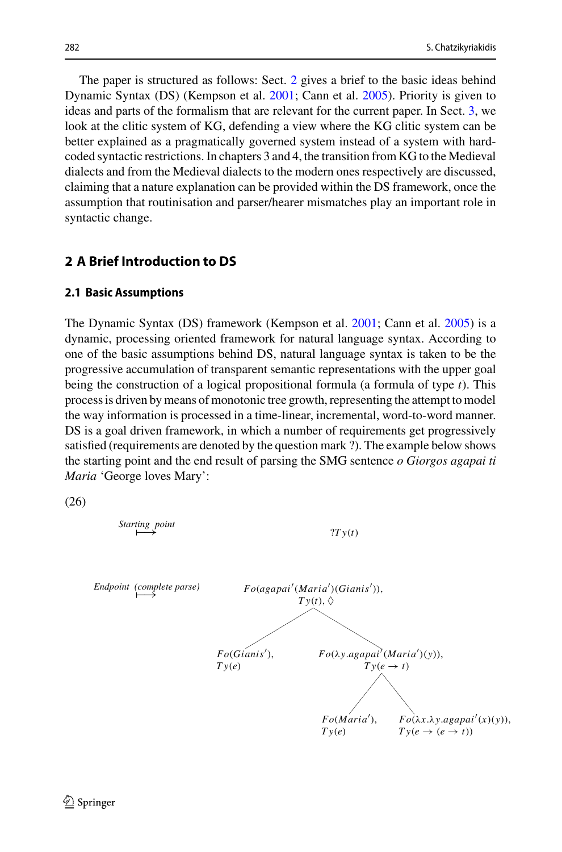The paper is structured as follows: Sect. [2](#page-5-0) gives a brief to the basic ideas behind Dynamic Syntax (DS) (Kempson et al[.](#page-26-17) [2001;](#page-26-17) Cann et al[.](#page-26-18) [2005](#page-26-18)). Priority is given to ideas and parts of the formalism that are relevant for the current paper. In Sect. [3,](#page-11-0) we look at the clitic system of KG, defending a view where the KG clitic system can be better explained as a pragmatically governed system instead of a system with hardcoded syntactic restrictions. In chapters 3 and 4, the transition from KG to the Medieval dialects and from the Medieval dialects to the modern ones respectively are discussed, claiming that a nature explanation can be provided within the DS framework, once the assumption that routinisation and parser/hearer mismatches play an important role in syntactic change.

# <span id="page-5-0"></span>**2 A Brief Introduction to DS**

#### **2.1 Basic Assumptions**

The Dynamic Syntax (DS) framework (Kempson et al[.](#page-26-17) [2001](#page-26-17); Cann et al[.](#page-26-18) [2005\)](#page-26-18) is a dynamic, processing oriented framework for natural language syntax. According to one of the basic assumptions behind DS, natural language syntax is taken to be the progressive accumulation of transparent semantic representations with the upper goal being the construction of a logical propositional formula (a formula of type *t*). This process is driven by means of monotonic tree growth, representing the attempt to model the way information is processed in a time-linear, incremental, word-to-word manner. DS is a goal driven framework, in which a number of requirements get progressively satisfied (requirements are denoted by the question mark ?). The example below shows the starting point and the end result of parsing the SMG sentence *o Giorgos agapai ti Maria* 'George loves Mary':

(26)

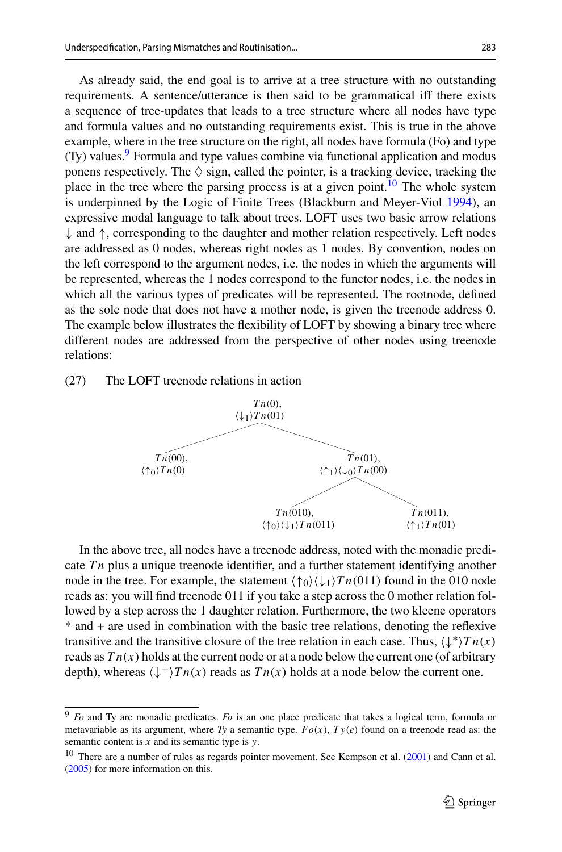As already said, the end goal is to arrive at a tree structure with no outstanding requirements. A sentence/utterance is then said to be grammatical iff there exists a sequence of tree-updates that leads to a tree structure where all nodes have type and formula values and no outstanding requirements exist. This is true in the above example, where in the tree structure on the right, all nodes have formula (Fo) and type  $(Ty)$  values.<sup>9</sup> Formula and type values combine via functional application and modus ponens respectively. The  $\Diamond$  sign, called the pointer, is a tracking device, tracking the place in the tree where the parsing process is at a given point.<sup>[10](#page-6-1)</sup> The whole system is underpinned by the Logic of Finite Trees (Blackburn and Meyer-Vio[l](#page-26-19) [1994](#page-26-19)), an expressive modal language to talk about trees. LOFT uses two basic arrow relations  $\downarrow$  and  $\uparrow$ , corresponding to the daughter and mother relation respectively. Left nodes are addressed as 0 nodes, whereas right nodes as 1 nodes. By convention, nodes on the left correspond to the argument nodes, i.e. the nodes in which the arguments will be represented, whereas the 1 nodes correspond to the functor nodes, i.e. the nodes in which all the various types of predicates will be represented. The rootnode, defined as the sole node that does not have a mother node, is given the treenode address 0. The example below illustrates the flexibility of LOFT by showing a binary tree where different nodes are addressed from the perspective of other nodes using treenode relations:

(27) The LOFT treenode relations in action



In the above tree, all nodes have a treenode address, noted with the monadic predicate *T n* plus a unique treenode identifier, and a further statement identifying another node in the tree. For example, the statement  $\langle \uparrow_0 \rangle \langle \downarrow_1 \rangle T n(011)$  found in the 010 node reads as: you will find treenode 011 if you take a step across the 0 mother relation followed by a step across the 1 daughter relation. Furthermore, the two kleene operators \* and + are used in combination with the basic tree relations, denoting the reflexive transitive and the transitive closure of the tree relation in each case. Thus,  $\langle \downarrow^* \rangle T n(x)$ reads as  $T_n(x)$  holds at the current node or at a node below the current one (of arbitrary depth), whereas  $\langle \downarrow^{+} \rangle T n(x)$  reads as  $T n(x)$  holds at a node below the current one.

<span id="page-6-0"></span><sup>9</sup> *Fo* and Ty are monadic predicates. *Fo* is an one place predicate that takes a logical term, formula or metavariable as its argument, where *Ty* a semantic type. *Fo*(*x*), *T y*(*e*) found on a treenode read as: the semantic content is *x* and its semantic type is *y*.

<span id="page-6-1"></span><sup>&</sup>lt;sup>10</sup> There are a number of rules as regards pointer movement[.](#page-26-18) See Kempson et al. [\(2001](#page-26-17)) and Cann et al. [\(2005](#page-26-18)) for more information on this.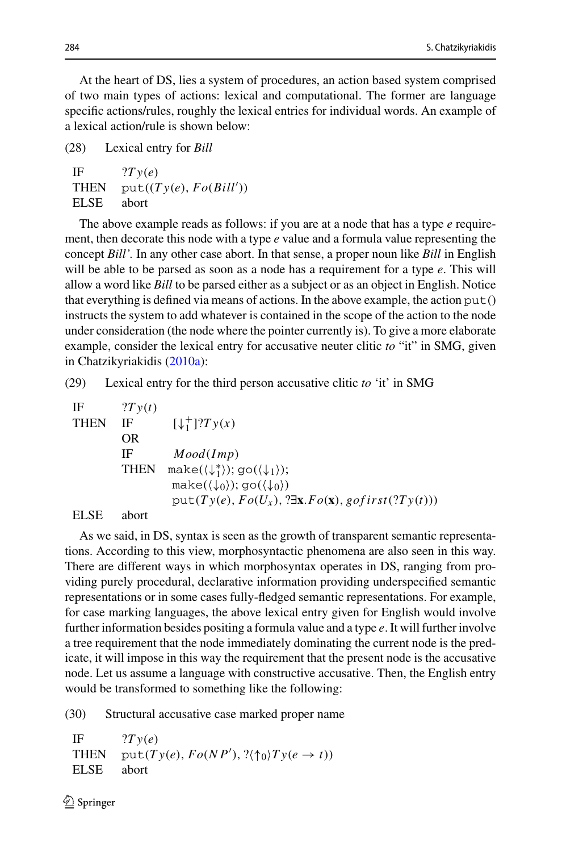At the heart of DS, lies a system of procedures, an action based system comprised of two main types of actions: lexical and computational. The former are language specific actions/rules, roughly the lexical entries for individual words. An example of a lexical action/rule is shown below:

(28) Lexical entry for *Bill*

| IF          | 2Ty(e)                 |
|-------------|------------------------|
| <b>THEN</b> | put((Ty(e), Fo(Bill')) |
| <b>ELSE</b> | abort                  |

The above example reads as follows: if you are at a node that has a type *e* requirement, then decorate this node with a type *e* value and a formula value representing the concept *Bill'.* In any other case abort. In that sense, a proper noun like *Bill* in English will be able to be parsed as soon as a node has a requirement for a type *e*. This will allow a word like *Bill* to be parsed either as a subject or as an object in English. Notice that everything is defined via means of actions. In the above example, the action  $put()$ instructs the system to add whatever is contained in the scope of the action to the node under consideration (the node where the pointer currently is). To give a more elaborate example, consider the lexical entry for accusative neuter clitic *to* "it" in SMG, given in Chatzikyriakidi[s](#page-26-8) [\(2010a\)](#page-26-8):

(29) Lexical entry for the third person accusative clitic *to* 'it' in SMG

If 
$$
2Ty(t)
$$

\nTHEN IF  $[\downarrow_1^+]$ ?

\nOR IF  $Mod(Imp)$ 

\nTHEN  $make(\langle \downarrow_1^* \rangle); go(\langle \downarrow_1 \rangle);$ 

\nmake( $\langle \downarrow_0 \rangle); go(\langle \downarrow_0 \rangle)$ 

\nput( $Ty(e), Fo(U_x), ?\exists x. Fo(x), gofirst(?Ty(t))$ )

ELSE abort

As we said, in DS, syntax is seen as the growth of transparent semantic representations. According to this view, morphosyntactic phenomena are also seen in this way. There are different ways in which morphosyntax operates in DS, ranging from providing purely procedural, declarative information providing underspecified semantic representations or in some cases fully-fledged semantic representations. For example, for case marking languages, the above lexical entry given for English would involve further information besides positing a formula value and a type *e*. It will further involve a tree requirement that the node immediately dominating the current node is the predicate, it will impose in this way the requirement that the present node is the accusative node. Let us assume a language with constructive accusative. Then, the English entry would be transformed to something like the following:

(30) Structural accusative case marked proper name

```
IF ?Ty(e)THEN \text{put}(Ty(e), Fo(NP'), ?(\uparrow_0)Ty(e \to t))ELSE abort
```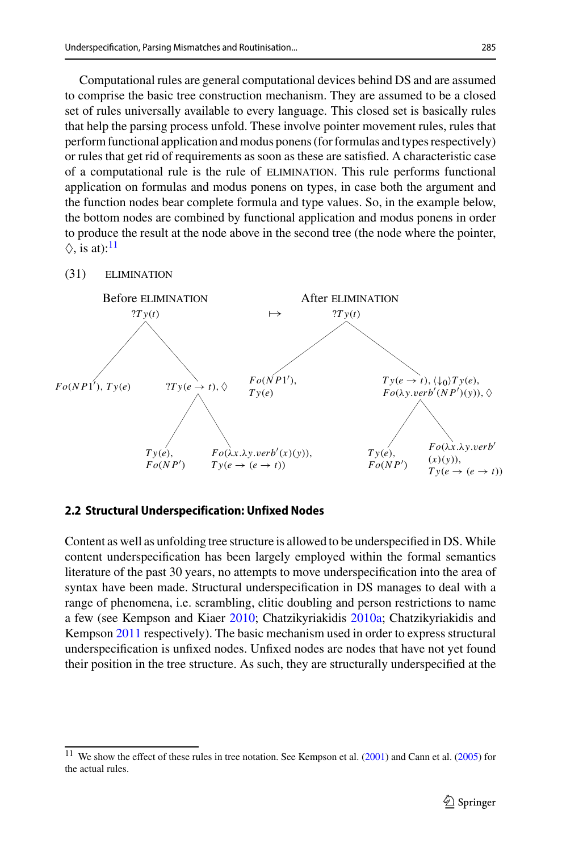Computational rules are general computational devices behind DS and are assumed to comprise the basic tree construction mechanism. They are assumed to be a closed set of rules universally available to every language. This closed set is basically rules that help the parsing process unfold. These involve pointer movement rules, rules that perform functional application and modus ponens (for formulas and types respectively) or rules that get rid of requirements as soon as these are satisfied. A characteristic case of a computational rule is the rule of elimination. This rule performs functional application on formulas and modus ponens on types, in case both the argument and the function nodes bear complete formula and type values. So, in the example below, the bottom nodes are combined by functional application and modus ponens in order to produce the result at the node above in the second tree (the node where the pointer,  $\Diamond$ , is at):<sup>[11](#page-8-0)</sup>

#### (31) elimination



### **2.2 Structural Underspecification: Unfixed Nodes**

Content as well as unfolding tree structure is allowed to be underspecified in DS. While content underspecification has been largely employed within the formal semantics literature of the past 30 years, no attempts to move underspecification into the area of syntax have been made. Structural underspecification in DS manages to deal with a range of phenomena, i.e. scrambling, clitic doubling and person restrictions to name a few (see Kempson and Kiae[r](#page-26-20) [2010;](#page-26-20) Chatzikyriakidi[s](#page-26-8) [2010a;](#page-26-8) Chatzikyriakidis and Kempso[n](#page-26-21) [2011](#page-26-21) respectively). The basic mechanism used in order to express structural underspecification is unfixed nodes. Unfixed nodes are nodes that have not yet found their position in the tree structure. As such, they are structurally underspecified at the

<span id="page-8-0"></span><sup>&</sup>lt;sup>11</sup> We show the effect of these rules in tree notation[.](#page-26-18) See Kempson et al. [\(2001\)](#page-26-17) and Cann et al. [\(2005](#page-26-18)) for the actual rules.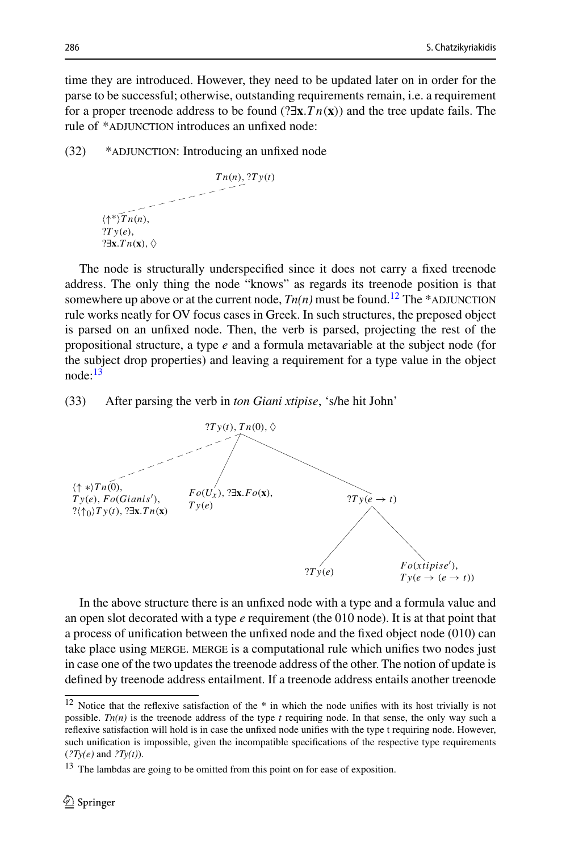time they are introduced. However, they need to be updated later on in order for the parse to be successful; otherwise, outstanding requirements remain, i.e. a requirement for a proper treenode address to be found (?∃**x**.*T n*(**x**)) and the tree update fails. The rule of \*ADJUNCTION introduces an unfixed node:

(32) \*adjunction: Introducing an unfixed node



The node is structurally underspecified since it does not carry a fixed treenode address. The only thing the node "knows" as regards its treenode position is that somewhere up above or at the current node,  $Tn(n)$  must be found.<sup>12</sup> The \*ADJUNCTION rule works neatly for OV focus cases in Greek. In such structures, the preposed object is parsed on an unfixed node. Then, the verb is parsed, projecting the rest of the propositional structure, a type *e* and a formula metavariable at the subject node (for the subject drop properties) and leaving a requirement for a type value in the object node:[13](#page-9-1)

(33) After parsing the verb in *ton Giani xtipise*, 's/he hit John'



In the above structure there is an unfixed node with a type and a formula value and an open slot decorated with a type *e* requirement (the 010 node). It is at that point that a process of unification between the unfixed node and the fixed object node (010) can take place using MERGE. MERGE is a computational rule which unifies two nodes just in case one of the two updates the treenode address of the other. The notion of update is defined by treenode address entailment. If a treenode address entails another treenode

<span id="page-9-0"></span> $12$  Notice that the reflexive satisfaction of the  $*$  in which the node unifies with its host trivially is not possible. *Tn(n)* is the treenode address of the type *t* requiring node. In that sense, the only way such a reflexive satisfaction will hold is in case the unfixed node unifies with the type t requiring node. However, such unification is impossible, given the incompatible specifications of the respective type requirements (*?Ty(e)* and *?Ty(t)*).

<span id="page-9-1"></span><sup>&</sup>lt;sup>13</sup> The lambdas are going to be omitted from this point on for ease of exposition.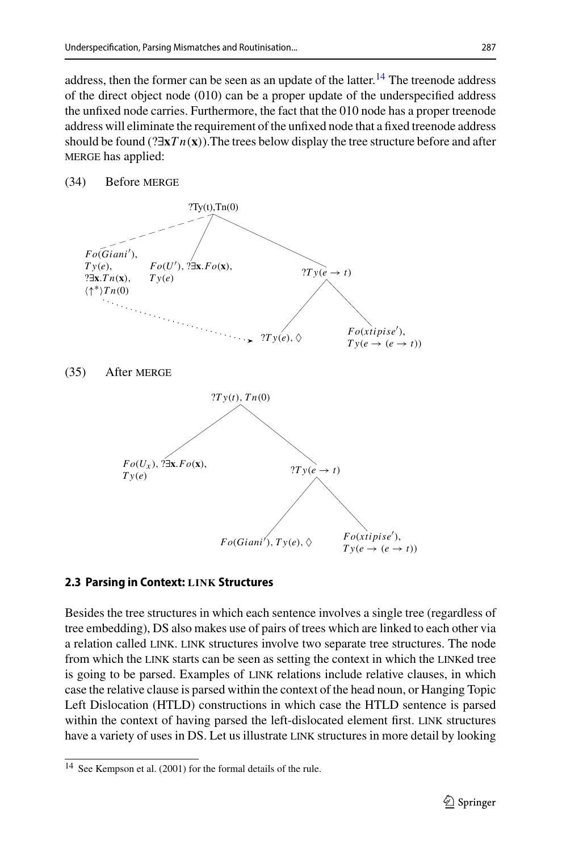address, then the former can be seen as an update of the latter.<sup>[14](#page-10-0)</sup> The treenode address of the direct object node (010) can be a proper update of the underspecified address the unfixed node carries. Furthermore, the fact that the 010 node has a proper treenode address will eliminate the requirement of the unfixed node that a fixed treenode address should be found (?∃**x***T n*(**x**)).The trees below display the tree structure before and after MERGE has applied:

### (34) Before MERGE



#### **2.3 Parsing in Context: LINK Structures**

Besides the tree structures in which each sentence involves a single tree (regardless of tree embedding), DS also makes use of pairs of trees which are linked to each other via a relation called link. link structures involve two separate tree structures. The node from which the link starts can be seen as setting the context in which the linked tree is going to be parsed. Examples of LINK relations include relative clauses, in which case the relative clause is parsed within the context of the head noun, or Hanging Topic Left Dislocation (HTLD) constructions in which case the HTLD sentence is parsed within the context of having parsed the left-dislocated element first. link structures have a variety of uses in DS. Let us illustrate LINK structures in more detail by looking

<span id="page-10-0"></span><sup>14</sup> See Kempson et al. (2001) for the formal details of the rule.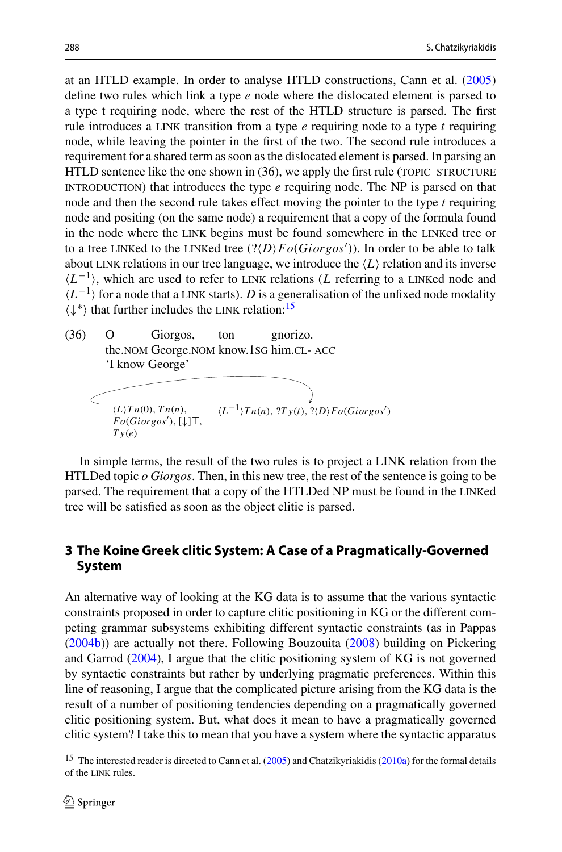at an HTLD example. In order to analyse HTLD constructions, Cann et al[.](#page-26-18) [\(2005\)](#page-26-18) define two rules which link a type *e* node where the dislocated element is parsed to a type t requiring node, where the rest of the HTLD structure is parsed. The first rule introduces a link transition from a type *e* requiring node to a type *t* requiring node, while leaving the pointer in the first of the two. The second rule introduces a requirement for a shared term as soon as the dislocated element is parsed. In parsing an  $HTLD$  sentence like the one shown in  $(36)$ , we apply the first rule (TOPIC STRUCTURE introduction) that introduces the type *e* requiring node. The NP is parsed on that node and then the second rule takes effect moving the pointer to the type *t* requiring node and positing (on the same node) a requirement that a copy of the formula found in the node where the link begins must be found somewhere in the linked tree or to a tree linked to the linked tree (?*DFo*(*Giorgos* )). In order to be able to talk about LINK relations in our tree language, we introduce the  $\langle L \rangle$  relation and its inverse  $\langle L^{-1} \rangle$ , which are used to refer to LINK relations (*L* referring to a LINKed node and  $\langle L^{-1} \rangle$  for a node that a LINK starts). *D* is a generalisation of the unfixed node modality  $\langle \downarrow^* \rangle$  that further includes the LINK relation: <sup>[15](#page-11-1)</sup>

(36) O the.nom George.nom know.1sg him.cl- acc Giorgos, ton gnorizo. 'I know George'

$$
\left\langle L\right\rangle Tn(0), Tn(n), \qquad \langle L^{-1}\rangle Tn(n), ?Ty(t), ?\langle D\rangle Fo(Giorgos')
$$
  
\n
$$
Fo(Giorgos'), [\downarrow]\top, \qquad \langle L^{-1}\rangle Tn(n), ?Ty(t), ?\langle D\rangle Fo(Giorgos')
$$

In simple terms, the result of the two rules is to project a LINK relation from the HTLDed topic *o Giorgos*. Then, in this new tree, the rest of the sentence is going to be parsed. The requirement that a copy of the HTLDed NP must be found in the linked tree will be satisfied as soon as the object clitic is parsed.

# <span id="page-11-0"></span>**3 The Koine Greek clitic System: A Case of a Pragmatically-Governed System**

An alternative way of looking at the KG data is to assume that the various syntactic constraints proposed in order to capture clitic positioning in KG or the different competing grammar subsystems exhibiting different syntactic constraints (as in Pappa[s](#page-26-4) [\(2004b\)](#page-26-4)) are actually not there. Following Bouzouit[a](#page-26-3) [\(2008](#page-26-3)) building on Pickering and Garro[d](#page-27-11) [\(2004\)](#page-27-11), I argue that the clitic positioning system of KG is not governed by syntactic constraints but rather by underlying pragmatic preferences. Within this line of reasoning, I argue that the complicated picture arising from the KG data is the result of a number of positioning tendencies depending on a pragmatically governed clitic positioning system. But, what does it mean to have a pragmatically governed clitic system? I take this to mean that you have a system where the syntactic apparatus

<span id="page-11-1"></span><sup>&</sup>lt;sup>15</sup> The interested reader is directed to Cann et al[.](#page-26-18) [\(2005\)](#page-26-18) and Chatzikyriakidi[s](#page-26-8) [\(2010a](#page-26-8)) for the formal details of the link rules.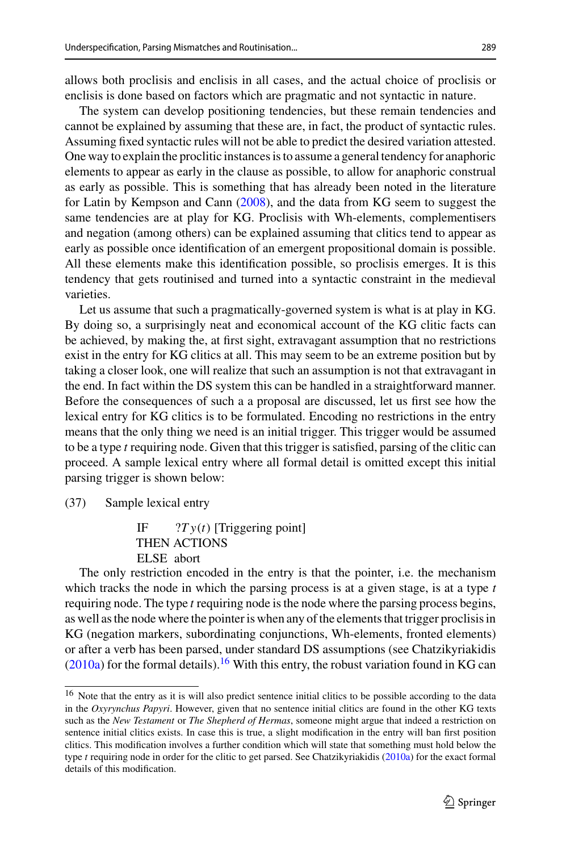allows both proclisis and enclisis in all cases, and the actual choice of proclisis or enclisis is done based on factors which are pragmatic and not syntactic in nature.

The system can develop positioning tendencies, but these remain tendencies and cannot be explained by assuming that these are, in fact, the product of syntactic rules. Assuming fixed syntactic rules will not be able to predict the desired variation attested. One way to explain the proclitic instances is to assume a general tendency for anaphoric elements to appear as early in the clause as possible, to allow for anaphoric construal as early as possible. This is something that has already been noted in the literature for Latin by Kempson and Can[n](#page-26-22) [\(2008\)](#page-26-22), and the data from KG seem to suggest the same tendencies are at play for KG. Proclisis with Wh-elements, complementisers and negation (among others) can be explained assuming that clitics tend to appear as early as possible once identification of an emergent propositional domain is possible. All these elements make this identification possible, so proclisis emerges. It is this tendency that gets routinised and turned into a syntactic constraint in the medieval varieties.

Let us assume that such a pragmatically-governed system is what is at play in KG. By doing so, a surprisingly neat and economical account of the KG clitic facts can be achieved, by making the, at first sight, extravagant assumption that no restrictions exist in the entry for KG clitics at all. This may seem to be an extreme position but by taking a closer look, one will realize that such an assumption is not that extravagant in the end. In fact within the DS system this can be handled in a straightforward manner. Before the consequences of such a a proposal are discussed, let us first see how the lexical entry for KG clitics is to be formulated. Encoding no restrictions in the entry means that the only thing we need is an initial trigger. This trigger would be assumed to be a type *t* requiring node. Given that this trigger is satisfied, parsing of the clitic can proceed. A sample lexical entry where all formal detail is omitted except this initial parsing trigger is shown below:

(37) Sample lexical entry

IF  $?Ty(t)$  [Triggering point] THEN ACTIONS ELSE abort

The only restriction encoded in the entry is that the pointer, i.e. the mechanism which tracks the node in which the parsing process is at a given stage, is at a type *t* requiring node. The type *t* requiring node is the node where the parsing process begins, as well as the node where the pointer is when any of the elements that trigger proclisis in KG (negation markers, subordinating conjunctions, Wh-elements, fronted elements) or after a verb has been parsed, under standard DS assumptions (see Chatzikyriakidi[s](#page-26-8)  $(2010a)$  $(2010a)$  for the formal details).<sup>[16](#page-12-0)</sup> With this entry, the robust variation found in KG can

<span id="page-12-0"></span><sup>16</sup> Note that the entry as it is will also predict sentence initial clitics to be possible according to the data in the *Oxyrynchus Papyri*. However, given that no sentence initial clitics are found in the other KG texts such as the *New Testament* or *The Shepherd of Hermas*, someone might argue that indeed a restriction on sentence initial clitics exists. In case this is true, a slight modification in the entry will ban first position clitics. This modification involves a further condition which will state that something must hold below the type *t* requiring node in order for the clitic to get parsed. See Chatzikyriakidi[s](#page-26-8) [\(2010a\)](#page-26-8) for the exact formal details of this modification.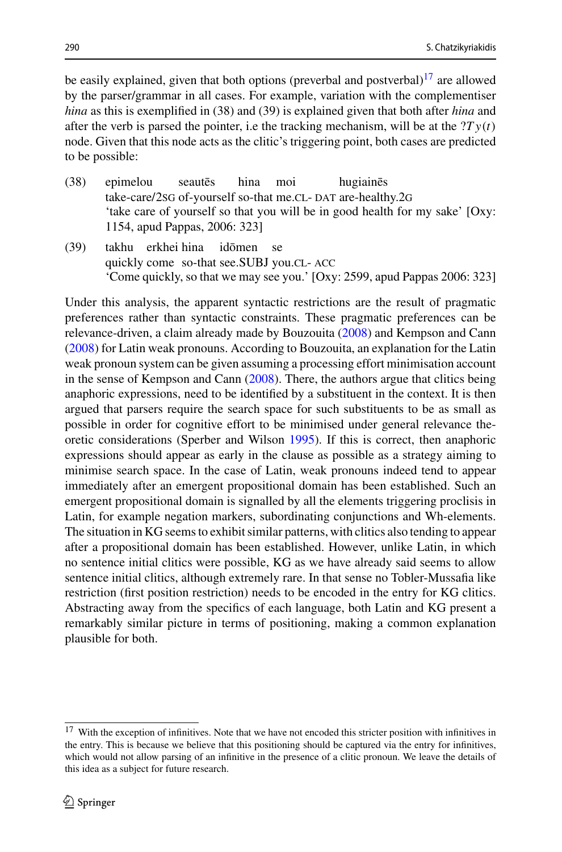be easily explained, given that both options (preverbal and postverbal) $^{17}$  $^{17}$  $^{17}$  are allowed by the parser/grammar in all cases. For example, variation with the complementiser *hina* as this is exemplified in (38) and (39) is explained given that both after *hina* and after the verb is parsed the pointer, i.e the tracking mechanism, will be at the  $2T y(t)$ node. Given that this node acts as the clitic's triggering point, both cases are predicted to be possible:

- (38) epimelou take-care/2sG of-yourself so-that me.CL-DAT are-healthy.2G seautēs hina moi hugiainēs 'take care of yourself so that you will be in good health for my sake' [Oxy: 1154, apud Pappas, 2006: 323]
- (39) takhu erkhei hina quickly come so-that see.SUBJ you.CL- ACC idōmen se 'Come quickly, so that we may see you.' [Oxy: 2599, apud Pappas 2006: 323]

Under this analysis, the apparent syntactic restrictions are the result of pragmatic preferences rather than syntactic constraints. These pragmatic preferences can be relevance-driven, a claim already made by Bouzouit[a](#page-26-3) [\(2008](#page-26-3)) and Kempson and Can[n](#page-26-22) [\(2008\)](#page-26-22) for Latin weak pronouns. According to Bouzouita, an explanation for the Latin weak pronoun system can be given assuming a processing effort minimisation account in the sense of Kempson and Can[n](#page-26-22) [\(2008\)](#page-26-22). There, the authors argue that clitics being anaphoric expressions, need to be identified by a substituent in the context. It is then argued that parsers require the search space for such substituents to be as small as possible in order for cognitive effort to be minimised under general relevance theoretic considerations (Sperber and Wilso[n](#page-27-12) [1995](#page-27-12)). If this is correct, then anaphoric expressions should appear as early in the clause as possible as a strategy aiming to minimise search space. In the case of Latin, weak pronouns indeed tend to appear immediately after an emergent propositional domain has been established. Such an emergent propositional domain is signalled by all the elements triggering proclisis in Latin, for example negation markers, subordinating conjunctions and Wh-elements. The situation in KG seems to exhibit similar patterns, with clitics also tending to appear after a propositional domain has been established. However, unlike Latin, in which no sentence initial clitics were possible, KG as we have already said seems to allow sentence initial clitics, although extremely rare. In that sense no Tobler-Mussafia like restriction (first position restriction) needs to be encoded in the entry for KG clitics. Abstracting away from the specifics of each language, both Latin and KG present a remarkably similar picture in terms of positioning, making a common explanation plausible for both.

<span id="page-13-0"></span><sup>&</sup>lt;sup>17</sup> With the exception of infinitives. Note that we have not encoded this stricter position with infinitives in the entry. This is because we believe that this positioning should be captured via the entry for infinitives, which would not allow parsing of an infinitive in the presence of a clitic pronoun. We leave the details of this idea as a subject for future research.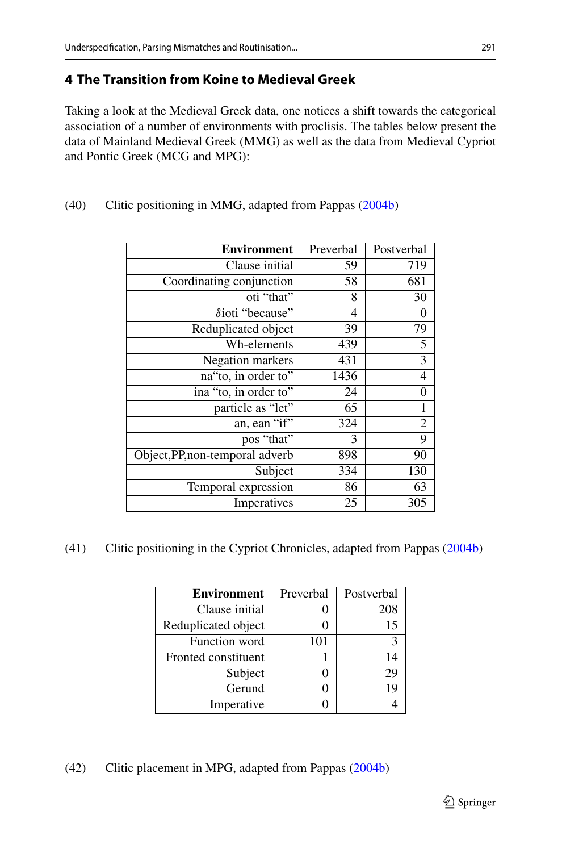# **4 The Transition from Koine to Medieval Greek**

Taking a look at the Medieval Greek data, one notices a shift towards the categorical association of a number of environments with proclisis. The tables below present the data of Mainland Medieval Greek (MMG) as well as the data from Medieval Cypriot and Pontic Greek (MCG and MPG):

| <b>Environment</b>              | Preverbal | Postverbal     |
|---------------------------------|-----------|----------------|
| Clause initial                  | 59        | 719            |
| Coordinating conjunction        | 58        | 681            |
| oti "that"                      | 8         | 30             |
| $\delta$ ioti "because"         | 4         | 0              |
| Reduplicated object             | 39        | 79             |
| Wh-elements                     | 439       | $\overline{5}$ |
| Negation markers                | 431       | $\overline{3}$ |
| na"to, in order to"             | 1436      | 4              |
| ina "to, in order to"           | 24        | 0              |
| particle as "let"               | 65        | 1              |
| an, ean "if"                    | 324       | $\overline{2}$ |
| pos "that"                      | 3         | 9              |
| Object, PP, non-temporal adverb | 898       | 90             |
| Subject                         | 334       | 130            |
| Temporal expression             | 86        | 63             |
| Imperatives                     | 25        | 305            |

(40) Clitic positioning in MMG, adapted from Pappa[s](#page-26-4) [\(2004b\)](#page-26-4)

(41) Clitic positioning in the Cypriot Chronicles, adapted from Pappa[s](#page-26-4) [\(2004b](#page-26-4))

| <b>Environment</b>  | Preverbal | Postverbal |
|---------------------|-----------|------------|
| Clause initial      |           | 208        |
| Reduplicated object |           | 15         |
| Function word       | 101       |            |
| Fronted constituent |           | 14         |
| Subject             |           | 29         |
| Gerund              |           | 19         |
| Imperative          |           |            |

(42) Clitic placement in MPG, adapted from Pappa[s](#page-26-4) [\(2004b](#page-26-4))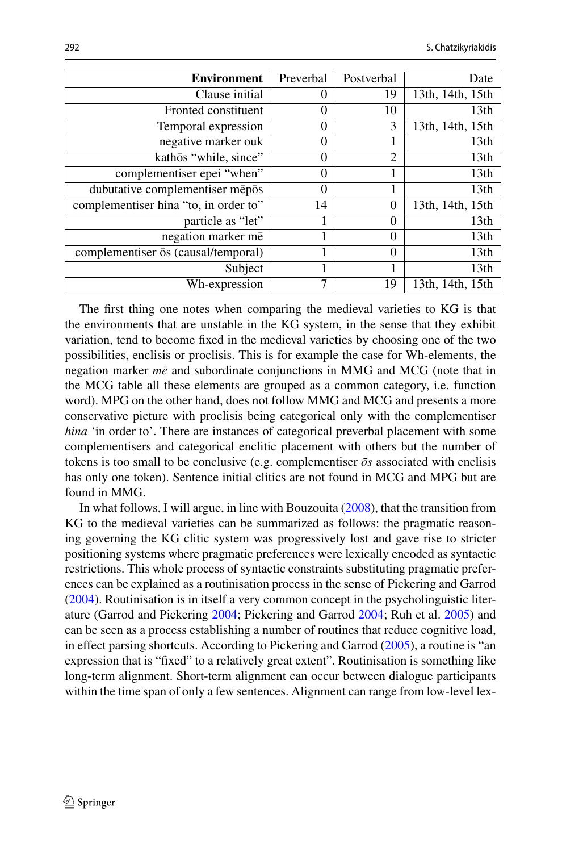| <b>Environment</b>                    | Preverbal | Postverbal | Date             |
|---------------------------------------|-----------|------------|------------------|
| Clause initial                        | 0         | 19         | 13th, 14th, 15th |
| Fronted constituent                   | 0         | 10         | 13th             |
| Temporal expression                   | 0         | 3          | 13th, 14th, 15th |
| negative marker ouk                   | $\theta$  |            | 13 <sub>th</sub> |
| kathōs "while, since"                 | 0         | 2          | 13 <sub>th</sub> |
| complementiser epei "when"            | 0         |            | 13 <sub>th</sub> |
| dubutative complementiser mepos       | $\theta$  |            | 13 <sub>th</sub> |
| complementiser hina "to, in order to" | 14        | 0          | 13th, 14th, 15th |
| particle as "let"                     |           | 0          | 13 <sub>th</sub> |
| negation marker me                    | 1         | $\Omega$   | 13 <sub>th</sub> |
| complementiser os (causal/temporal)   |           | $\Omega$   | 13 <sub>th</sub> |
| Subject                               | 1         |            | 13 <sub>th</sub> |
| Wh-expression                         | 7         | 19         | 13th, 14th, 15th |

The first thing one notes when comparing the medieval varieties to KG is that the environments that are unstable in the KG system, in the sense that they exhibit variation, tend to become fixed in the medieval varieties by choosing one of the two possibilities, enclisis or proclisis. This is for example the case for Wh-elements, the negation marker  $m\bar{e}$  and subordinate conjunctions in MMG and MCG (note that in the MCG table all these elements are grouped as a common category, i.e. function word). MPG on the other hand, does not follow MMG and MCG and presents a more conservative picture with proclisis being categorical only with the complementiser *hina* 'in order to'. There are instances of categorical preverbal placement with some complementisers and categorical enclitic placement with others but the number of tokens is too small to be conclusive (e.g. complementiser  $\bar{\sigma}$ s associated with enclisis has only one token). Sentence initial clitics are not found in MCG and MPG but are found in MMG.

In what follows, I will argue, in line with Bouzouit[a](#page-26-3) [\(2008](#page-26-3)), that the transition from KG to the medieval varieties can be summarized as follows: the pragmatic reasoning governing the KG clitic system was progressively lost and gave rise to stricter positioning systems where pragmatic preferences were lexically encoded as syntactic restrictions. This whole process of syntactic constraints substituting pragmatic preferences can be explained as a routinisation process in the sense of Pickering and Garro[d](#page-27-11) [\(2004\)](#page-27-11). Routinisation is in itself a very common concept in the psycholinguistic literature (Garrod and Pickerin[g](#page-26-23) [2004;](#page-26-23) Pickering and Garro[d](#page-27-11) [2004](#page-27-11); Ruh et al[.](#page-27-13) [2005\)](#page-27-13) and can be seen as a process establishing a number of routines that reduce cognitive load, in effect parsing shortcuts. According to Pickering and Garro[d](#page-27-14) [\(2005\)](#page-27-14), a routine is "an expression that is "fixed" to a relatively great extent". Routinisation is something like long-term alignment. Short-term alignment can occur between dialogue participants within the time span of only a few sentences. Alignment can range from low-level lex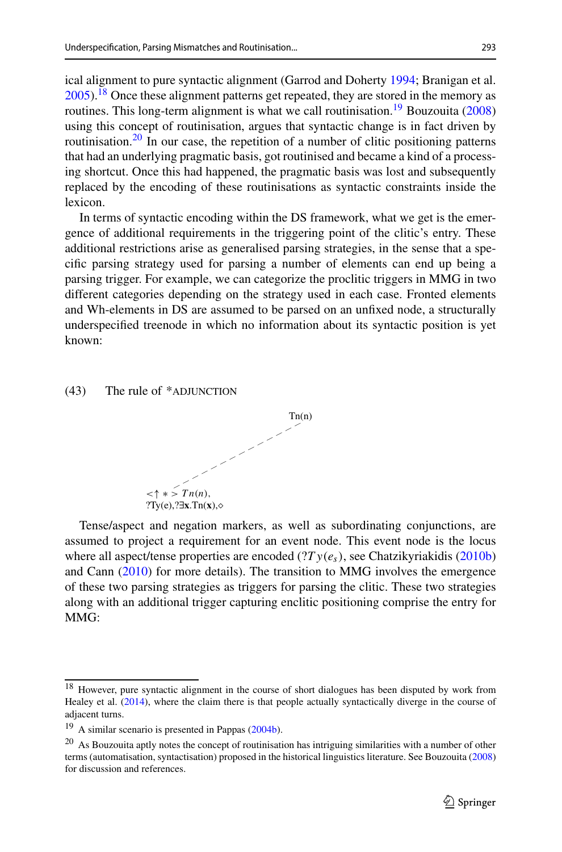ical alignment to pure syntactic alignment (Garrod and Dohert[y](#page-26-24) [1994;](#page-26-24) Branigan et al[.](#page-26-25)  $2005$ ).<sup>[18](#page-16-0)</sup> Once these alignment patterns get repeated, they are stored in the memory as routines. This long-term [a](#page-26-3)lignment is what we call routinisation.<sup>19</sup> Bouzouita [\(2008\)](#page-26-3) using this concept of routinisation, argues that syntactic change is in fact driven by routinisation.<sup>[20](#page-16-2)</sup> In our case, the repetition of a number of clitic positioning patterns that had an underlying pragmatic basis, got routinised and became a kind of a processing shortcut. Once this had happened, the pragmatic basis was lost and subsequently replaced by the encoding of these routinisations as syntactic constraints inside the lexicon.

In terms of syntactic encoding within the DS framework, what we get is the emergence of additional requirements in the triggering point of the clitic's entry. These additional restrictions arise as generalised parsing strategies, in the sense that a specific parsing strategy used for parsing a number of elements can end up being a parsing trigger. For example, we can categorize the proclitic triggers in MMG in two different categories depending on the strategy used in each case. Fronted elements and Wh-elements in DS are assumed to be parsed on an unfixed node, a structurally underspecified treenode in which no information about its syntactic position is yet known:

#### $(43)$  The rule of \*ADJUNCTION



Tense/aspect and negation markers, as well as subordinating conjunctions, are assumed to project a requirement for an event node. This event node is the locus where all aspect/tense properties are encoded (?*T y*(*es*), see Chatzikyriakidi[s](#page-26-10) [\(2010b\)](#page-26-10) and Can[n](#page-26-26) [\(2010\)](#page-26-26) for more details). The transition to MMG involves the emergence of these two parsing strategies as triggers for parsing the clitic. These two strategies along with an additional trigger capturing enclitic positioning comprise the entry for MMG:

<span id="page-16-0"></span><sup>&</sup>lt;sup>18</sup> However, pure syntactic alignment in the course of short dialogues has been disputed by work from Healey et al[.](#page-26-27) [\(2014](#page-26-27)), where the claim there is that people actually syntactically diverge in the course of adjacent turns.

<span id="page-16-1"></span><sup>19</sup> A similar scenario is presented in Pappa[s](#page-26-4) [\(2004b\)](#page-26-4).

<span id="page-16-2"></span><sup>&</sup>lt;sup>20</sup> As Bouzouita aptly notes the concept of routinisation has intriguing similarities with a number of other terms (automatisation, syntactisation) proposed in the historical linguistics literature. See Bouzouit[a](#page-26-3) [\(2008](#page-26-3)) for discussion and references.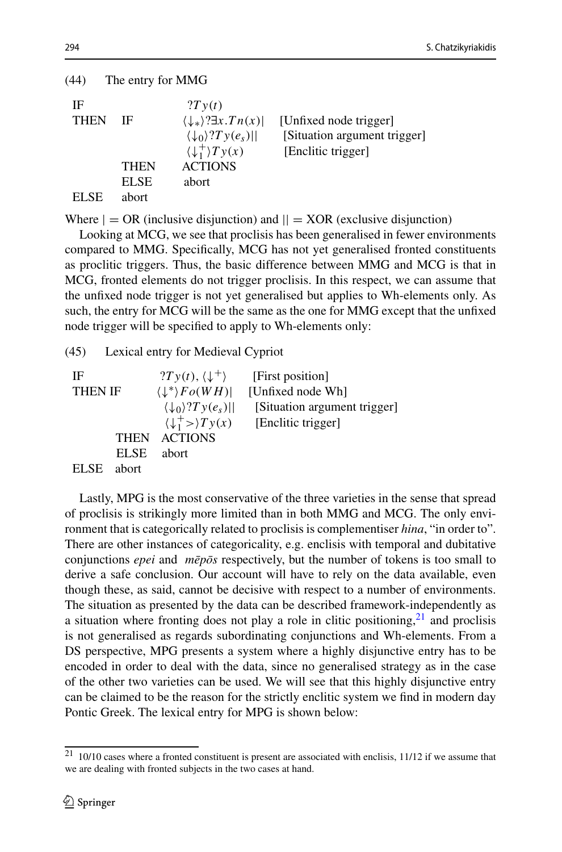| (44)              | The entry for MMG                   |                                                                                                                                                         |                                                                              |
|-------------------|-------------------------------------|---------------------------------------------------------------------------------------------------------------------------------------------------------|------------------------------------------------------------------------------|
| IF<br><b>THEN</b> | IF                                  | 2Ty(t)<br>$\langle \downarrow_* \rangle ? \exists x . Tn(x)$<br>$\langle \downarrow_0 \rangle$ ?Ty $(e_s)$   <br>$\langle \downarrow_1^+ \rangle Ty(x)$ | [Unfixed node trigger]<br>[Situation argument trigger]<br>[Enclitic trigger] |
| EL SE             | <b>THEN</b><br><b>ELSE</b><br>abort | <b>ACTIONS</b><br>abort                                                                                                                                 |                                                                              |

Where  $| = \text{OR}$  (inclusive disjunction) and  $|| = \text{XOR}$  (exclusive disjunction)

Looking at MCG, we see that proclisis has been generalised in fewer environments compared to MMG. Specifically, MCG has not yet generalised fronted constituents as proclitic triggers. Thus, the basic difference between MMG and MCG is that in MCG, fronted elements do not trigger proclisis. In this respect, we can assume that the unfixed node trigger is not yet generalised but applies to Wh-elements only. As such, the entry for MCG will be the same as the one for MMG except that the unfixed node trigger will be specified to apply to Wh-elements only:

(45) Lexical entry for Medieval Cypriot

IF  $?Ty(t), \langle \downarrow^+\rangle$  [First position]<br>THEN IF  $\langle \downarrow^*\rangle Fo(WH)$  [Unfixed node \]  $\downarrow^*$ *Fo*(*WH*)| [Unfixed node Wh]<br> $\langle \downarrow_0 \rangle$ ?*T* y(*e<sub>s</sub>*)|| [Situation argume [Situation argument trigger]  $\langle \downarrow_1^+ \rangle T y(x)$ [Enclitic trigger] THEN ACTIONS ELSE abort ELSE abort

Lastly, MPG is the most conservative of the three varieties in the sense that spread of proclisis is strikingly more limited than in both MMG and MCG. The only environment that is categorically related to proclisis is complementiser *hina*, "in order to". There are other instances of categoricality, e.g. enclisis with temporal and dubitative conjunctions *epei* and *mēpōs* respectively, but the number of tokens is too small to derive a safe conclusion. Our account will have to rely on the data available, even though these, as said, cannot be decisive with respect to a number of environments. The situation as presented by the data can be described framework-independently as a situation where fronting does not play a role in clitic positioning, $21$  and proclisis is not generalised as regards subordinating conjunctions and Wh-elements. From a DS perspective, MPG presents a system where a highly disjunctive entry has to be encoded in order to deal with the data, since no generalised strategy as in the case of the other two varieties can be used. We will see that this highly disjunctive entry can be claimed to be the reason for the strictly enclitic system we find in modern day Pontic Greek. The lexical entry for MPG is shown below:

<span id="page-17-0"></span> $21$  10/10 cases where a fronted constituent is present are associated with enclisis, 11/12 if we assume that we are dealing with fronted subjects in the two cases at hand.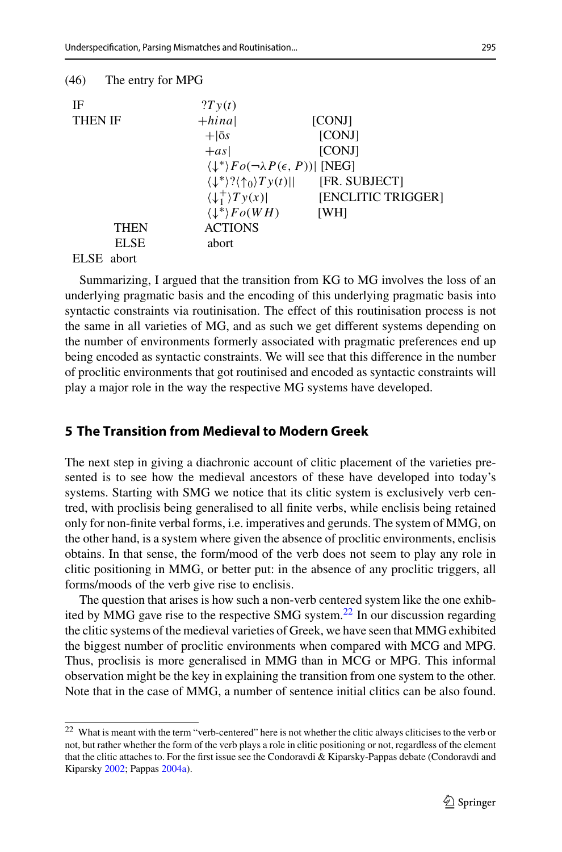| (46)<br>The entry for MPG |                                                                       |                    |
|---------------------------|-----------------------------------------------------------------------|--------------------|
| IF                        | 2Ty(t)                                                                |                    |
| <b>THEN IF</b>            | $+hina$                                                               | [CONJ]             |
|                           | $+$ $ \bar{0}$ s                                                      | <b>[CONJ]</b>      |
|                           | $+as$                                                                 | [CONJ]             |
|                           | $\langle \downarrow^* \rangle Fo(\neg \lambda P(\epsilon, P))$ [NEG]  |                    |
|                           | $\langle \downarrow^* \rangle ? \langle \uparrow_0 \rangle T y(t)   $ | [FR. SUBJECT]      |
|                           | $\langle \downarrow_1^+ \rangle Ty(x)$                                | [ENCLITIC TRIGGER] |
|                           | $\langle \downarrow^* \rangle Fo(WH)$                                 | [WH]               |
| THEN                      | <b>ACTIONS</b>                                                        |                    |
| <b>ELSE</b>               | abort                                                                 |                    |
| <b>ELSE</b><br>abort      |                                                                       |                    |

Summarizing, I argued that the transition from KG to MG involves the loss of an underlying pragmatic basis and the encoding of this underlying pragmatic basis into syntactic constraints via routinisation. The effect of this routinisation process is not the same in all varieties of MG, and as such we get different systems depending on the number of environments formerly associated with pragmatic preferences end up being encoded as syntactic constraints. We will see that this difference in the number of proclitic environments that got routinised and encoded as syntactic constraints will play a major role in the way the respective MG systems have developed.

### **5 The Transition from Medieval to Modern Greek**

The next step in giving a diachronic account of clitic placement of the varieties presented is to see how the medieval ancestors of these have developed into today's systems. Starting with SMG we notice that its clitic system is exclusively verb centred, with proclisis being generalised to all finite verbs, while enclisis being retained only for non-finite verbal forms, i.e. imperatives and gerunds. The system of MMG, on the other hand, is a system where given the absence of proclitic environments, enclisis obtains. In that sense, the form/mood of the verb does not seem to play any role in clitic positioning in MMG, or better put: in the absence of any proclitic triggers, all forms/moods of the verb give rise to enclisis.

The question that arises is how such a non-verb centered system like the one exhibited by MMG gave rise to the respective SMG system.<sup>22</sup> In our discussion regarding the clitic systems of the medieval varieties of Greek, we have seen that MMG exhibited the biggest number of proclitic environments when compared with MCG and MPG. Thus, proclisis is more generalised in MMG than in MCG or MPG. This informal observation might be the key in explaining the transition from one system to the other. Note that in the case of MMG, a number of sentence initial clitics can be also found.

<span id="page-18-0"></span><sup>22</sup> What is meant with the term "verb-centered" here is not whether the clitic always cliticises to the verb or not, but rather whether the form of the verb plays a role in clitic positioning or not, regardless of the element that the clitic attaches to. For the first issue see the Condoravdi & Kiparsky-Pappas debate (Condoravdi and Kiparsk[y](#page-26-15) [2002;](#page-26-15) Pappa[s](#page-26-28) [2004a\)](#page-26-28).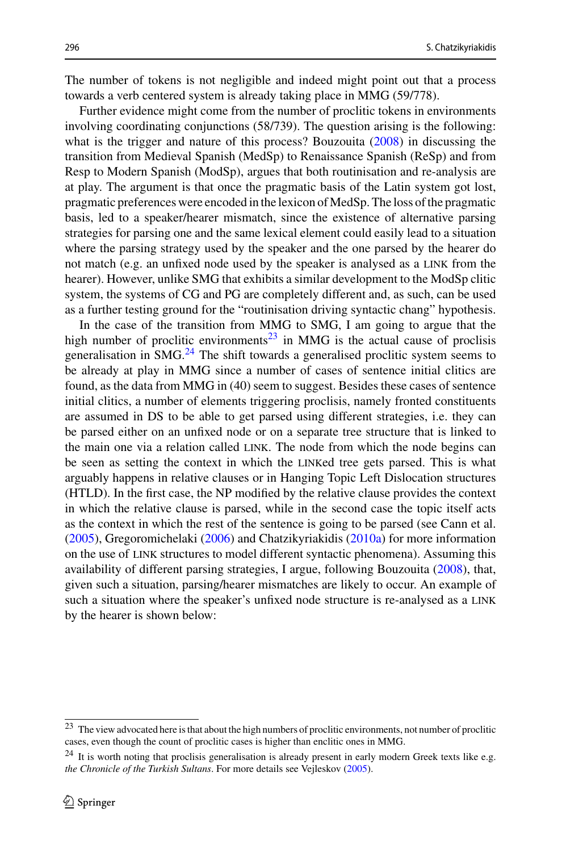The number of tokens is not negligible and indeed might point out that a process towards a verb centered system is already taking place in MMG (59/778).

Further evidence might come from the number of proclitic tokens in environments involving coordinating conjunctions (58/739). The question arising is the following: what is the trigger and nature of this process? Bouzouit[a](#page-26-3) [\(2008](#page-26-3)) in discussing the transition from Medieval Spanish (MedSp) to Renaissance Spanish (ReSp) and from Resp to Modern Spanish (ModSp), argues that both routinisation and re-analysis are at play. The argument is that once the pragmatic basis of the Latin system got lost, pragmatic preferences were encoded in the lexicon of MedSp. The loss of the pragmatic basis, led to a speaker/hearer mismatch, since the existence of alternative parsing strategies for parsing one and the same lexical element could easily lead to a situation where the parsing strategy used by the speaker and the one parsed by the hearer do not match (e.g. an unfixed node used by the speaker is analysed as a link from the hearer). However, unlike SMG that exhibits a similar development to the ModSp clitic system, the systems of CG and PG are completely different and, as such, can be used as a further testing ground for the "routinisation driving syntactic chang" hypothesis.

In the case of the transition from MMG to SMG, I am going to argue that the high number of proclitic environments<sup>[23](#page-19-0)</sup> in MMG is the actual cause of proclisis generalisation in SMG.[24](#page-19-1) The shift towards a generalised proclitic system seems to be already at play in MMG since a number of cases of sentence initial clitics are found, as the data from MMG in (40) seem to suggest. Besides these cases of sentence initial clitics, a number of elements triggering proclisis, namely fronted constituents are assumed in DS to be able to get parsed using different strategies, i.e. they can be parsed either on an unfixed node or on a separate tree structure that is linked to the main one via a relation called LINK. The node from which the node begins can be seen as setting the context in which the linked tree gets parsed. This is what arguably happens in relative clauses or in Hanging Topic Left Dislocation structures (HTLD). In the first case, the NP modified by the relative clause provides the context in which the relative clause is parsed, while in the second case the topic itself acts as the context in which the rest of the sentence is going to be parsed (see Cann et al[.](#page-26-18) [\(2005\)](#page-26-18), Gregoromichelak[i](#page-26-29) [\(2006](#page-26-29)) and Chatzikyriakidi[s](#page-26-8) [\(2010a](#page-26-8)) for more information on the use of link structures to model different syntactic phenomena). Assuming this availability of different parsing strategies, I argue, following Bouzouit[a](#page-26-3) [\(2008](#page-26-3)), that, given such a situation, parsing/hearer mismatches are likely to occur. An example of such a situation where the speaker's unfixed node structure is re-analysed as a link by the hearer is shown below:

<span id="page-19-0"></span><sup>&</sup>lt;sup>23</sup> The view advocated here is that about the high numbers of proclitic environments, not number of proclitic cases, even though the count of proclitic cases is higher than enclitic ones in MMG.

<span id="page-19-1"></span> $24$  It is worth noting that proclisis generalisation is already present in early modern Greek texts like e.g. *the Chronicle of the Turkish Sultans*. For more details see Vejlesko[v](#page-27-15) [\(2005](#page-27-15)).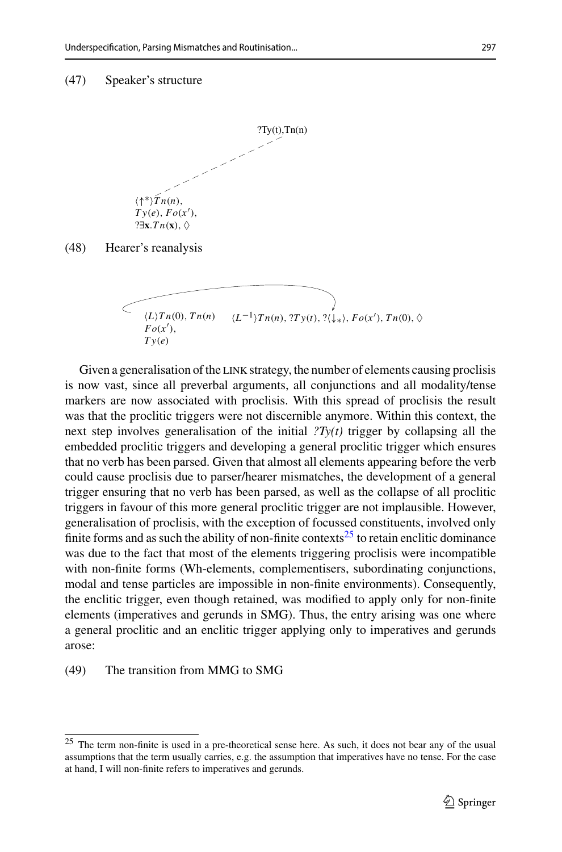#### (47) Speaker's structure



(48) Hearer's reanalysis

$$
\left\{\begin{array}{cc}\n\overbrace{\langle L\rangle Tn(0), Tn(n)} & \langle L^{-1}\rangle Tn(n), ?Ty(t), ?\langle\downarrow_*\rangle, Fo(x'), Tn(0), \Diamond Ty(e)\n\end{array}\right.
$$

Given a generalisation of the LINK strategy, the number of elements causing proclisis is now vast, since all preverbal arguments, all conjunctions and all modality/tense markers are now associated with proclisis. With this spread of proclisis the result was that the proclitic triggers were not discernible anymore. Within this context, the next step involves generalisation of the initial  $2Ty(t)$  trigger by collapsing all the embedded proclitic triggers and developing a general proclitic trigger which ensures that no verb has been parsed. Given that almost all elements appearing before the verb could cause proclisis due to parser/hearer mismatches, the development of a general trigger ensuring that no verb has been parsed, as well as the collapse of all proclitic triggers in favour of this more general proclitic trigger are not implausible. However, generalisation of proclisis, with the exception of focussed constituents, involved only finite forms and as such the ability of non-finite contexts<sup>25</sup> to retain enclitic dominance was due to the fact that most of the elements triggering proclisis were incompatible with non-finite forms (Wh-elements, complementisers, subordinating conjunctions, modal and tense particles are impossible in non-finite environments). Consequently, the enclitic trigger, even though retained, was modified to apply only for non-finite elements (imperatives and gerunds in SMG). Thus, the entry arising was one where a general proclitic and an enclitic trigger applying only to imperatives and gerunds arose:

#### (49) The transition from MMG to SMG

<span id="page-20-0"></span><sup>25</sup> The term non-finite is used in a pre-theoretical sense here. As such, it does not bear any of the usual assumptions that the term usually carries, e.g. the assumption that imperatives have no tense. For the case at hand, I will non-finite refers to imperatives and gerunds.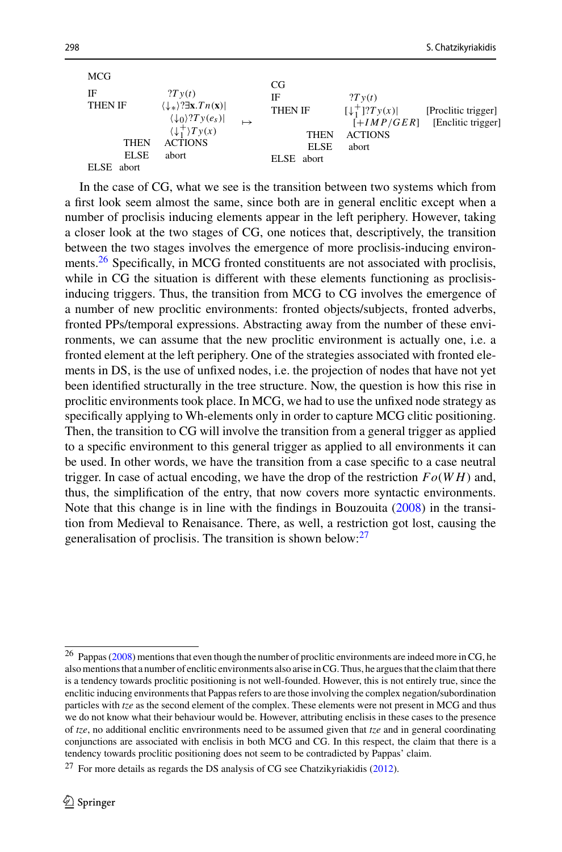| <b>MCG</b>                                                                                                                                                                                                                                                                                                                                                                                        |                                                           |
|---------------------------------------------------------------------------------------------------------------------------------------------------------------------------------------------------------------------------------------------------------------------------------------------------------------------------------------------------------------------------------------------------|-----------------------------------------------------------|
| CG<br>IF<br>2Tv(t)<br>IF<br>2Tv(t)<br>$\langle \downarrow_* \rangle$ ? $\exists$ x. $Tn(x)$<br><b>THEN IF</b><br>$[\downarrow_1^+]$ ? $Ty(x)$<br><b>THEN IF</b><br>$\langle \downarrow_0 \rangle$ ?Ty $(e_s)$  <br>$\langle \downarrow_1^+ \rangle Ty(x)$<br><b>ACTIONS</b><br><b>THEN</b><br><b>ACTIONS</b><br><b>THEN</b><br>ELSE.<br>abort<br><b>ELSE</b><br>abort<br>ELSE abort<br>ELSE abort | [Proclitic trigger]<br>$[+IMP/GER]$<br>[Enclitic trigger] |

In the case of CG, what we see is the transition between two systems which from a first look seem almost the same, since both are in general enclitic except when a number of proclisis inducing elements appear in the left periphery. However, taking a closer look at the two stages of CG, one notices that, descriptively, the transition between the two stages involves the emergence of more proclisis-inducing environments.<sup>26</sup> Specifically, in MCG fronted constituents are not associated with proclisis, while in CG the situation is different with these elements functioning as proclisisinducing triggers. Thus, the transition from MCG to CG involves the emergence of a number of new proclitic environments: fronted objects/subjects, fronted adverbs, fronted PPs/temporal expressions. Abstracting away from the number of these environments, we can assume that the new proclitic environment is actually one, i.e. a fronted element at the left periphery. One of the strategies associated with fronted elements in DS, is the use of unfixed nodes, i.e. the projection of nodes that have not yet been identified structurally in the tree structure. Now, the question is how this rise in proclitic environments took place. In MCG, we had to use the unfixed node strategy as specifically applying to Wh-elements only in order to capture MCG clitic positioning. Then, the transition to CG will involve the transition from a general trigger as applied to a specific environment to this general trigger as applied to all environments it can be used. In other words, we have the transition from a case specific to a case neutral trigger. In case of actual encoding, we have the drop of the restriction *Fo*(*W H*) and, thus, the simplification of the entry, that now covers more syntactic environments. Note that this change is in line with the findings in Bouzouit[a](#page-26-3) [\(2008\)](#page-26-3) in the transition from Medieval to Renaisance. There, as well, a restriction got lost, causing the generalisation of proclisis. The transition is shown below: $27$ 

<span id="page-21-0"></span><sup>26</sup> Pappa[s](#page-26-9) [\(2008](#page-26-9)) mentions that even though the number of proclitic environments are indeed more in CG, he also mentions that a number of enclitic environments also arise in CG. Thus, he argues that the claim that there is a tendency towards proclitic positioning is not well-founded. However, this is not entirely true, since the enclitic inducing environments that Pappas refers to are those involving the complex negation/subordination particles with *tze* as the second element of the complex. These elements were not present in MCG and thus we do not know what their behaviour would be. However, attributing enclisis in these cases to the presence of *tze*, no additional enclitic envrironments need to be assumed given that *tze* and in general coordinating conjunctions are associated with enclisis in both MCG and CG. In this respect, the claim that there is a tendency towards proclitic positioning does not seem to be contradicted by Pappas' claim.

<span id="page-21-1"></span> $27$  For more detail[s](#page-26-0) as regards the DS analysis of CG see Chatzikyriakidis [\(2012\)](#page-26-0).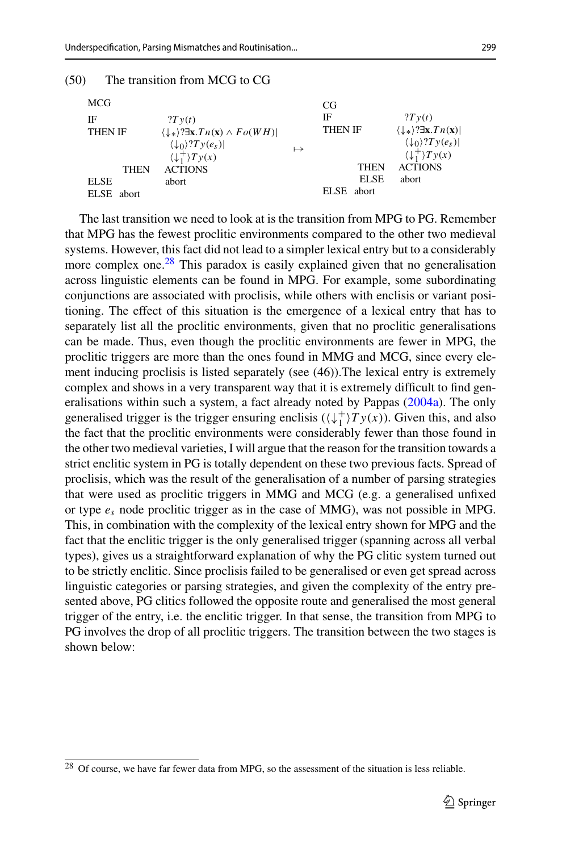| (50) | The transition from MCG to CG |  |  |  |  |
|------|-------------------------------|--|--|--|--|
|------|-------------------------------|--|--|--|--|

| <b>MCG</b>     |                                                                                              |           | CG             |                                                       |
|----------------|----------------------------------------------------------------------------------------------|-----------|----------------|-------------------------------------------------------|
| IF             | 2Tv(t)                                                                                       |           | IF             | 2Tv(t)                                                |
| <b>THEN IF</b> | $\langle \downarrow_* \rangle$ ? $\exists$ x. <i>Tn</i> (x) $\wedge$ <i>Fo</i> ( <i>WH</i> ) |           | <b>THEN IF</b> | $\langle \downarrow_* \rangle$ ? $\exists$ x. $Tn(x)$ |
|                | $\langle \downarrow_0 \rangle$ ? $Ty(e_s)$                                                   | $\mapsto$ |                | $\langle \downarrow_0 \rangle$ ?Ty $(e_s)$            |
|                | $\langle \downarrow_1^+ \rangle Ty(x)$                                                       |           |                | $\langle \downarrow_1^+ \rangle Ty(x)$                |
| <b>THEN</b>    | <b>ACTIONS</b>                                                                               |           | <b>THEN</b>    | <b>ACTIONS</b>                                        |
| <b>ELSE</b>    | abort                                                                                        |           | <b>ELSE</b>    | abort                                                 |
| ELSE abort     |                                                                                              |           | ELSE abort     |                                                       |

The last transition we need to look at is the transition from MPG to PG. Remember that MPG has the fewest proclitic environments compared to the other two medieval systems. However, this fact did not lead to a simpler lexical entry but to a considerably more complex one.<sup>28</sup> This paradox is easily explained given that no generalisation across linguistic elements can be found in MPG. For example, some subordinating conjunctions are associated with proclisis, while others with enclisis or variant positioning. The effect of this situation is the emergence of a lexical entry that has to separately list all the proclitic environments, given that no proclitic generalisations can be made. Thus, even though the proclitic environments are fewer in MPG, the proclitic triggers are more than the ones found in MMG and MCG, since every element inducing proclisis is listed separately (see (46)).The lexical entry is extremely complex and shows in a very transparent way that it is extremely difficult to find generalisations within such a system, a fact already noted by Pappa[s](#page-26-28) [\(2004a](#page-26-28)). The only generalised trigger is the trigger ensuring enclisis  $(\langle \downarrow_1^+ \rangle Ty(x))$ . Given this, and also the fact that the proclitic environments were considerably fewer than those found in the other two medieval varieties, I will argue that the reason for the transition towards a strict enclitic system in PG is totally dependent on these two previous facts. Spread of proclisis, which was the result of the generalisation of a number of parsing strategies that were used as proclitic triggers in MMG and MCG (e.g. a generalised unfixed or type  $e_s$  node proclitic trigger as in the case of MMG), was not possible in MPG. This, in combination with the complexity of the lexical entry shown for MPG and the fact that the enclitic trigger is the only generalised trigger (spanning across all verbal types), gives us a straightforward explanation of why the PG clitic system turned out to be strictly enclitic. Since proclisis failed to be generalised or even get spread across linguistic categories or parsing strategies, and given the complexity of the entry presented above, PG clitics followed the opposite route and generalised the most general trigger of the entry, i.e. the enclitic trigger. In that sense, the transition from MPG to PG involves the drop of all proclitic triggers. The transition between the two stages is shown below:

<span id="page-22-0"></span><sup>&</sup>lt;sup>28</sup> Of course, we have far fewer data from MPG, so the assessment of the situation is less reliable.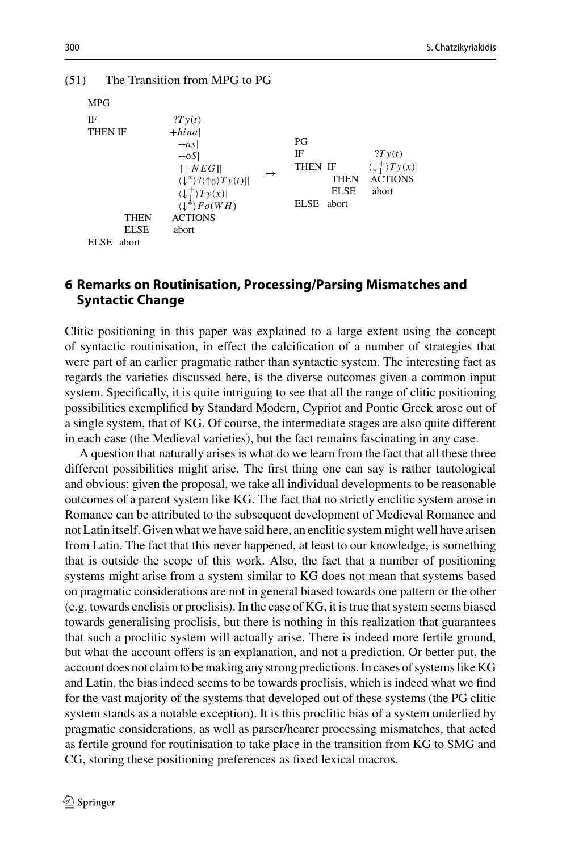| <b>MPG</b>                                         |                                                                                                                                                                                                                                          |           |                              |                                      |                                                                             |
|----------------------------------------------------|------------------------------------------------------------------------------------------------------------------------------------------------------------------------------------------------------------------------------------------|-----------|------------------------------|--------------------------------------|-----------------------------------------------------------------------------|
| IF<br><b>THEN IF</b><br><b>THEN</b><br><b>ELSE</b> | 2Ty(t)<br>$+hina$<br>$+as$<br>$+5S$<br>$[+NEG]$<br>$\langle \downarrow^* \rangle ? \langle \uparrow_0 \rangle Ty(t)   $<br>$\langle \downarrow_1^+ \rangle Ty(x) $<br>$\langle \downarrow^* \rangle$ $Fo(WH)$<br><b>ACTIONS</b><br>abort | $\mapsto$ | PG<br>ΙF<br>THEN IF<br>ELSE. | <b>THEN</b><br><b>ELSE</b><br>abort. | 2Ty(t)<br>$\langle \downarrow_1^+ \rangle Ty(x)$<br><b>ACTIONS</b><br>abort |
| ELSE.<br>abort                                     |                                                                                                                                                                                                                                          |           |                              |                                      |                                                                             |

#### (51) The Transition from MPG to PG

### **6 Remarks on Routinisation, Processing/Parsing Mismatches and Syntactic Change**

Clitic positioning in this paper was explained to a large extent using the concept of syntactic routinisation, in effect the calcification of a number of strategies that were part of an earlier pragmatic rather than syntactic system. The interesting fact as regards the varieties discussed here, is the diverse outcomes given a common input system. Specifically, it is quite intriguing to see that all the range of clitic positioning possibilities exemplified by Standard Modern, Cypriot and Pontic Greek arose out of a single system, that of KG. Of course, the intermediate stages are also quite different in each case (the Medieval varieties), but the fact remains fascinating in any case.

A question that naturally arises is what do we learn from the fact that all these three different possibilities might arise. The first thing one can say is rather tautological and obvious: given the proposal, we take all individual developments to be reasonable outcomes of a parent system like KG. The fact that no strictly enclitic system arose in Romance can be attributed to the subsequent development of Medieval Romance and not Latin itself. Given what we have said here, an enclitic system might well have arisen from Latin. The fact that this never happened, at least to our knowledge, is something that is outside the scope of this work. Also, the fact that a number of positioning systems might arise from a system similar to KG does not mean that systems based on pragmatic considerations are not in general biased towards one pattern or the other (e.g. towards enclisis or proclisis). In the case of KG, it is true that system seems biased towards generalising proclisis, but there is nothing in this realization that guarantees that such a proclitic system will actually arise. There is indeed more fertile ground, but what the account offers is an explanation, and not a prediction. Or better put, the account does not claim to be making any strong predictions. In cases of systems like KG and Latin, the bias indeed seems to be towards proclisis, which is indeed what we find for the vast majority of the systems that developed out of these systems (the PG clitic system stands as a notable exception). It is this proclitic bias of a system underlied by pragmatic considerations, as well as parser/hearer processing mismatches, that acted as fertile ground for routinisation to take place in the transition from KG to SMG and CG, storing these positioning preferences as fixed lexical macros.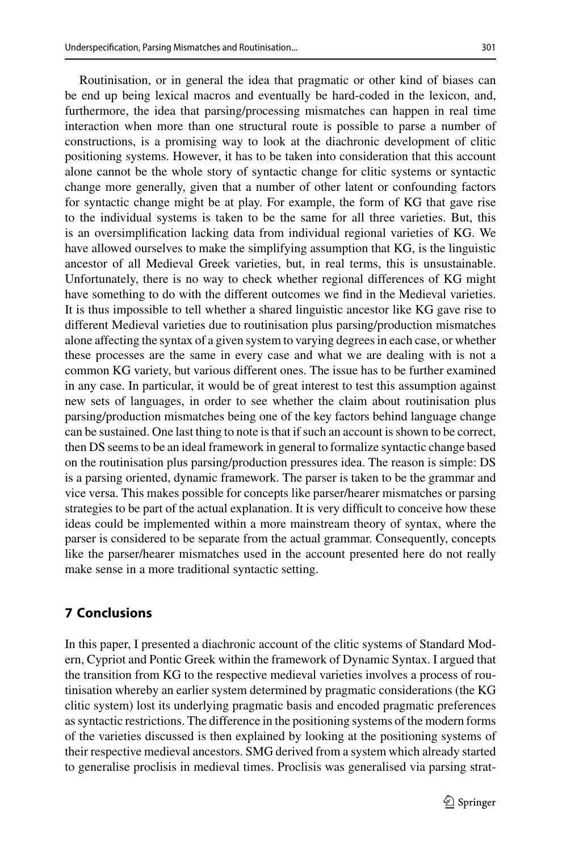Routinisation, or in general the idea that pragmatic or other kind of biases can be end up being lexical macros and eventually be hard-coded in the lexicon, and, furthermore, the idea that parsing/processing mismatches can happen in real time interaction when more than one structural route is possible to parse a number of constructions, is a promising way to look at the diachronic development of clitic positioning systems. However, it has to be taken into consideration that this account alone cannot be the whole story of syntactic change for clitic systems or syntactic change more generally, given that a number of other latent or confounding factors for syntactic change might be at play. For example, the form of KG that gave rise to the individual systems is taken to be the same for all three varieties. But, this is an oversimplification lacking data from individual regional varieties of KG. We have allowed ourselves to make the simplifying assumption that KG, is the linguistic ancestor of all Medieval Greek varieties, but, in real terms, this is unsustainable. Unfortunately, there is no way to check whether regional differences of KG might have something to do with the different outcomes we find in the Medieval varieties. It is thus impossible to tell whether a shared linguistic ancestor like KG gave rise to different Medieval varieties due to routinisation plus parsing/production mismatches alone affecting the syntax of a given system to varying degrees in each case, or whether these processes are the same in every case and what we are dealing with is not a common KG variety, but various different ones. The issue has to be further examined in any case. In particular, it would be of great interest to test this assumption against new sets of languages, in order to see whether the claim about routinisation plus parsing/production mismatches being one of the key factors behind language change can be sustained. One last thing to note is that if such an account is shown to be correct, then DS seems to be an ideal framework in general to formalize syntactic change based on the routinisation plus parsing/production pressures idea. The reason is simple: DS is a parsing oriented, dynamic framework. The parser is taken to be the grammar and vice versa. This makes possible for concepts like parser/hearer mismatches or parsing strategies to be part of the actual explanation. It is very difficult to conceive how these ideas could be implemented within a more mainstream theory of syntax, where the parser is considered to be separate from the actual grammar. Consequently, concepts like the parser/hearer mismatches used in the account presented here do not really make sense in a more traditional syntactic setting.

### **7 Conclusions**

In this paper, I presented a diachronic account of the clitic systems of Standard Modern, Cypriot and Pontic Greek within the framework of Dynamic Syntax. I argued that the transition from KG to the respective medieval varieties involves a process of routinisation whereby an earlier system determined by pragmatic considerations (the KG clitic system) lost its underlying pragmatic basis and encoded pragmatic preferences as syntactic restrictions. The difference in the positioning systems of the modern forms of the varieties discussed is then explained by looking at the positioning systems of their respective medieval ancestors. SMG derived from a system which already started to generalise proclisis in medieval times. Proclisis was generalised via parsing strat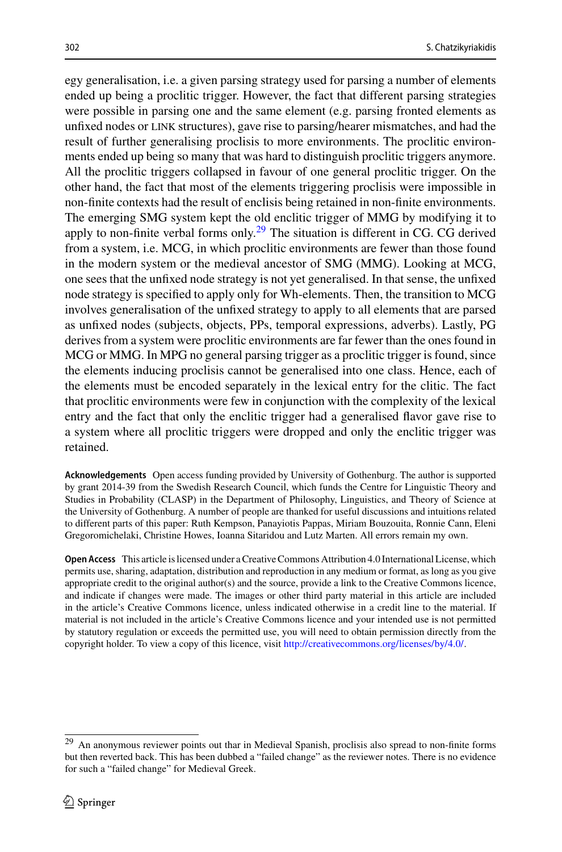egy generalisation, i.e. a given parsing strategy used for parsing a number of elements ended up being a proclitic trigger. However, the fact that different parsing strategies were possible in parsing one and the same element (e.g. parsing fronted elements as unfixed nodes or link structures), gave rise to parsing/hearer mismatches, and had the result of further generalising proclisis to more environments. The proclitic environments ended up being so many that was hard to distinguish proclitic triggers anymore. All the proclitic triggers collapsed in favour of one general proclitic trigger. On the other hand, the fact that most of the elements triggering proclisis were impossible in non-finite contexts had the result of enclisis being retained in non-finite environments. The emerging SMG system kept the old enclitic trigger of MMG by modifying it to apply to non-finite verbal forms only.<sup>[29](#page-25-0)</sup> The situation is different in CG. CG derived from a system, i.e. MCG, in which proclitic environments are fewer than those found in the modern system or the medieval ancestor of SMG (MMG). Looking at MCG, one sees that the unfixed node strategy is not yet generalised. In that sense, the unfixed node strategy is specified to apply only for Wh-elements. Then, the transition to MCG involves generalisation of the unfixed strategy to apply to all elements that are parsed as unfixed nodes (subjects, objects, PPs, temporal expressions, adverbs). Lastly, PG derives from a system were proclitic environments are far fewer than the ones found in MCG or MMG. In MPG no general parsing trigger as a proclitic trigger is found, since the elements inducing proclisis cannot be generalised into one class. Hence, each of the elements must be encoded separately in the lexical entry for the clitic. The fact that proclitic environments were few in conjunction with the complexity of the lexical entry and the fact that only the enclitic trigger had a generalised flavor gave rise to a system where all proclitic triggers were dropped and only the enclitic trigger was retained.

**Acknowledgements** Open access funding provided by University of Gothenburg. The author is supported by grant 2014-39 from the Swedish Research Council, which funds the Centre for Linguistic Theory and Studies in Probability (CLASP) in the Department of Philosophy, Linguistics, and Theory of Science at the University of Gothenburg. A number of people are thanked for useful discussions and intuitions related to different parts of this paper: Ruth Kempson, Panayiotis Pappas, Miriam Bouzouita, Ronnie Cann, Eleni Gregoromichelaki, Christine Howes, Ioanna Sitaridou and Lutz Marten. All errors remain my own.

**Open Access** This article is licensed under a Creative Commons Attribution 4.0 International License, which permits use, sharing, adaptation, distribution and reproduction in any medium or format, as long as you give appropriate credit to the original author(s) and the source, provide a link to the Creative Commons licence, and indicate if changes were made. The images or other third party material in this article are included in the article's Creative Commons licence, unless indicated otherwise in a credit line to the material. If material is not included in the article's Creative Commons licence and your intended use is not permitted by statutory regulation or exceeds the permitted use, you will need to obtain permission directly from the copyright holder. To view a copy of this licence, visit [http://creativecommons.org/licenses/by/4.0/.](http://creativecommons.org/licenses/by/4.0/)

<span id="page-25-0"></span><sup>29</sup> An anonymous reviewer points out thar in Medieval Spanish, proclisis also spread to non-finite forms but then reverted back. This has been dubbed a "failed change" as the reviewer notes. There is no evidence for such a "failed change" for Medieval Greek.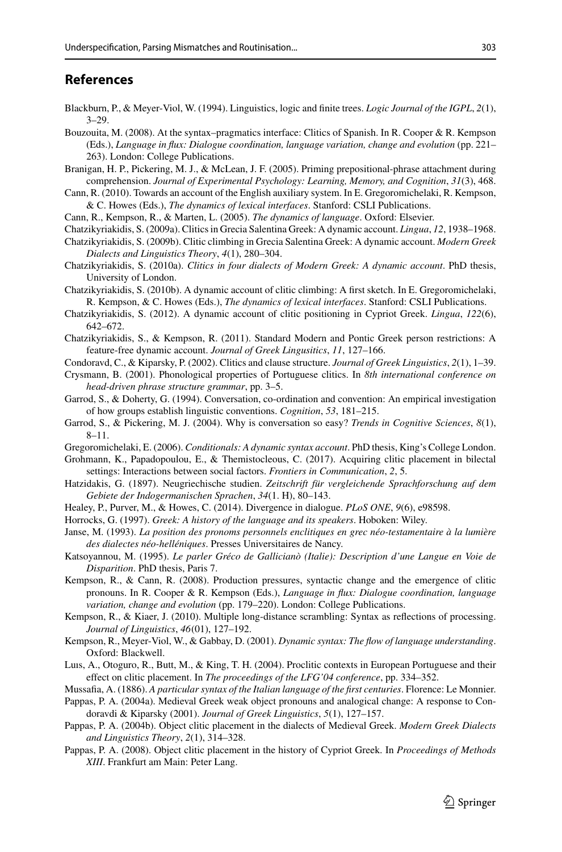### **References**

- <span id="page-26-19"></span>Blackburn, P., & Meyer-Viol, W. (1994). Linguistics, logic and finite trees. *Logic Journal of the IGPL*, *2*(1), 3–29.
- <span id="page-26-3"></span>Bouzouita, M. (2008). At the syntax–pragmatics interface: Clitics of Spanish. In R. Cooper & R. Kempson (Eds.), *Language in flux: Dialogue coordination, language variation, change and evolution* (pp. 221– 263). London: College Publications.
- <span id="page-26-25"></span>Branigan, H. P., Pickering, M. J., & McLean, J. F. (2005). Priming prepositional-phrase attachment during comprehension. *Journal of Experimental Psychology: Learning, Memory, and Cognition*, *31*(3), 468.
- <span id="page-26-26"></span>Cann, R. (2010). Towards an account of the English auxiliary system. In E. Gregoromichelaki, R. Kempson, & C. Howes (Eds.), *The dynamics of lexical interfaces*. Stanford: CSLI Publications.

<span id="page-26-18"></span>Cann, R., Kempson, R., & Marten, L. (2005). *The dynamics of language*. Oxford: Elsevier.

- <span id="page-26-6"></span>Chatzikyriakidis, S. (2009a). Clitics in Grecia Salentina Greek: A dynamic account. *Lingua*, *12*, 1938–1968.
- <span id="page-26-7"></span>Chatzikyriakidis, S. (2009b). Clitic climbing in Grecia Salentina Greek: A dynamic account. *Modern Greek Dialects and Linguistics Theory*, *4*(1), 280–304.
- <span id="page-26-8"></span>Chatzikyriakidis, S. (2010a). *Clitics in four dialects of Modern Greek: A dynamic account*. PhD thesis, University of London.
- <span id="page-26-10"></span>Chatzikyriakidis, S. (2010b). A dynamic account of clitic climbing: A first sketch. In E. Gregoromichelaki, R. Kempson, & C. Howes (Eds.), *The dynamics of lexical interfaces*. Stanford: CSLI Publications.
- <span id="page-26-0"></span>Chatzikyriakidis, S. (2012). A dynamic account of clitic positioning in Cypriot Greek. *Lingua*, *122*(6), 642–672.
- <span id="page-26-21"></span>Chatzikyriakidis, S., & Kempson, R. (2011). Standard Modern and Pontic Greek person restrictions: A feature-free dynamic account. *Journal of Greek Lingusitics*, *11*, 127–166.
- <span id="page-26-15"></span>Condoravd, C., & Kiparsky, P. (2002). Clitics and clause structure. *Journal of Greek Linguistics*, *2*(1), 1–39.
- <span id="page-26-1"></span>Crysmann, B. (2001). Phonological properties of Portuguese clitics. In *8th international conference on head-driven phrase structure grammar*, pp. 3–5.
- <span id="page-26-24"></span>Garrod, S., & Doherty, G. (1994). Conversation, co-ordination and convention: An empirical investigation of how groups establish linguistic conventions. *Cognition*, *53*, 181–215.
- <span id="page-26-23"></span>Garrod, S., & Pickering, M. J. (2004). Why is conversation so easy? *Trends in Cognitive Sciences*, *8*(1), 8–11.

<span id="page-26-29"></span>Gregoromichelaki, E. (2006). *Conditionals: A dynamic syntax account*. PhD thesis, King's College London.

- <span id="page-26-11"></span>Grohmann, K., Papadopoulou, E., & Themistocleous, C. (2017). Acquiring clitic placement in bilectal settings: Interactions between social factors. *Frontiers in Communication*, *2*, 5.
- <span id="page-26-12"></span>Hatzidakis, G. (1897). Neugriechische studien. *Zeitschrift für vergleichende Sprachforschung auf dem Gebiete der Indogermanischen Sprachen*, *34*(1. H), 80–143.
- <span id="page-26-27"></span>Healey, P., Purver, M., & Howes, C. (2014). Divergence in dialogue. *PLoS ONE*, *9*(6), e98598.
- <span id="page-26-13"></span>Horrocks, G. (1997). *Greek: A history of the language and its speakers*. Hoboken: Wiley.
- <span id="page-26-14"></span>Janse, M. (1993). *La position des pronoms personnels enclitiques en grec néo-testamentaire à la lumière des dialectes néo-helléniques*. Presses Universitaires de Nancy.
- <span id="page-26-5"></span>Katsoyannou, M. (1995). *Le parler Gréco de Gallicianò (Italie): Description d'une Langue en Voie de Disparition*. PhD thesis, Paris 7.
- <span id="page-26-22"></span>Kempson, R., & Cann, R. (2008). Production pressures, syntactic change and the emergence of clitic pronouns. In R. Cooper & R. Kempson (Eds.), *Language in flux: Dialogue coordination, language variation, change and evolution* (pp. 179–220). London: College Publications.
- <span id="page-26-20"></span>Kempson, R., & Kiaer, J. (2010). Multiple long-distance scrambling: Syntax as reflections of processing. *Journal of Linguistics*, *46*(01), 127–192.
- <span id="page-26-17"></span>Kempson, R., Meyer-Viol, W., & Gabbay, D. (2001). *Dynamic syntax: The flow of language understanding*. Oxford: Blackwell.
- <span id="page-26-2"></span>Luıs, A., Otoguro, R., Butt, M., & King, T. H. (2004). Proclitic contexts in European Portuguese and their effect on clitic placement. In *The proceedings of the LFG'04 conference*, pp. 334–352.
- <span id="page-26-16"></span>Mussafia, A. (1886). *A particular syntax of the Italian language of the first centuries*. Florence: Le Monnier.
- <span id="page-26-28"></span>Pappas, P. A. (2004a). Medieval Greek weak object pronouns and analogical change: A response to Condoravdi & Kiparsky (2001). *Journal of Greek Linguistics*, *5*(1), 127–157.
- <span id="page-26-4"></span>Pappas, P. A. (2004b). Object clitic placement in the dialects of Medieval Greek. *Modern Greek Dialects and Linguistics Theory*, *2*(1), 314–328.
- <span id="page-26-9"></span>Pappas, P. A. (2008). Object clitic placement in the history of Cypriot Greek. In *Proceedings of Methods XIII*. Frankfurt am Main: Peter Lang.